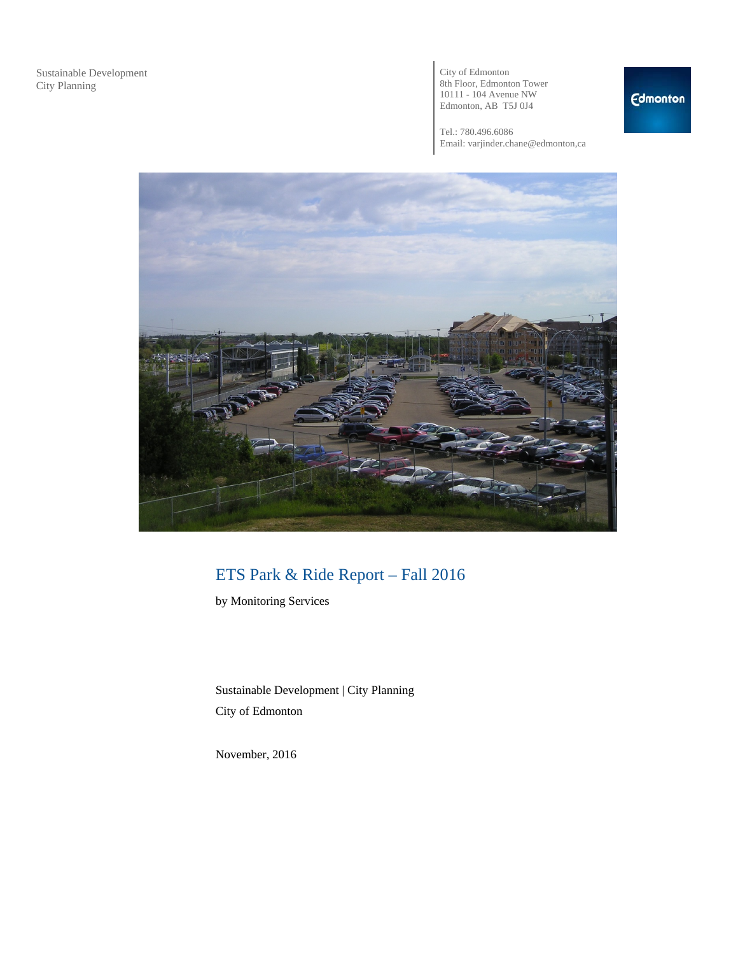City of Edmonton 8th Floor, Edmonton Tower 10111 - 104 Avenue NW Edmonton, AB T5J 0J4

Tel.: 780.496.6086 Email: varjinder.chane@edmonton,ca



# ETS Park & Ride Report – Fall 2016

by Monitoring Services

Sustainable Development | City Planning City of Edmonton

November, 2016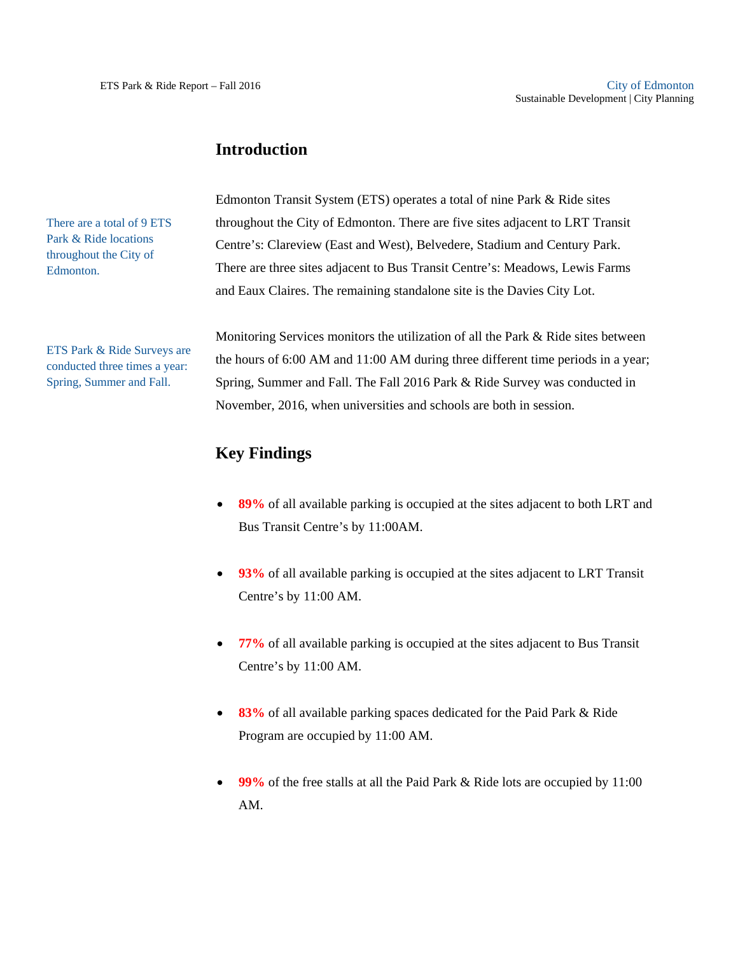### **Introduction**

There are a total of 9 ETS Park & Ride locations throughout the City of Edmonton.

ETS Park & Ride Surveys are conducted three times a year: Spring, Summer and Fall.

Edmonton Transit System (ETS) operates a total of nine Park & Ride sites throughout the City of Edmonton. There are five sites adjacent to LRT Transit Centre's: Clareview (East and West), Belvedere, Stadium and Century Park. There are three sites adjacent to Bus Transit Centre's: Meadows, Lewis Farms and Eaux Claires. The remaining standalone site is the Davies City Lot.

Monitoring Services monitors the utilization of all the Park & Ride sites between the hours of 6:00 AM and 11:00 AM during three different time periods in a year; Spring, Summer and Fall. The Fall 2016 Park & Ride Survey was conducted in November, 2016, when universities and schools are both in session.

# **Key Findings**

- **89%** of all available parking is occupied at the sites adjacent to both LRT and Bus Transit Centre's by 11:00AM.
- **93%** of all available parking is occupied at the sites adjacent to LRT Transit Centre's by 11:00 AM.
- **77%** of all available parking is occupied at the sites adjacent to Bus Transit Centre's by 11:00 AM.
- **83%** of all available parking spaces dedicated for the Paid Park & Ride Program are occupied by 11:00 AM.
- **99%** of the free stalls at all the Paid Park & Ride lots are occupied by 11:00 AM.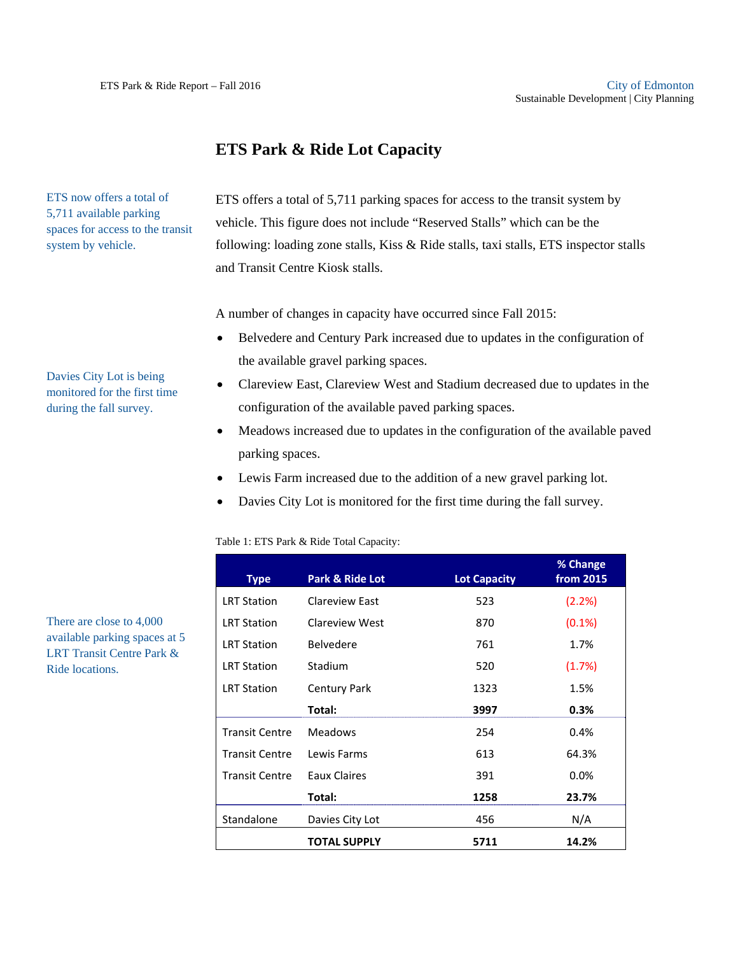ETS now offers a total of 5,711 available parking spaces for access to the transit

Davies City Lot is being monitored for the first time during the fall survey.

system by vehicle.

# **ETS Park & Ride Lot Capacity**

ETS offers a total of 5,711 parking spaces for access to the transit system by vehicle. This figure does not include "Reserved Stalls" which can be the following: loading zone stalls, Kiss & Ride stalls, taxi stalls, ETS inspector stalls and Transit Centre Kiosk stalls.

A number of changes in capacity have occurred since Fall 2015:

- Belvedere and Century Park increased due to updates in the configuration of the available gravel parking spaces.
- Clareview East, Clareview West and Stadium decreased due to updates in the configuration of the available paved parking spaces.
- Meadows increased due to updates in the configuration of the available paved parking spaces.
- Lewis Farm increased due to the addition of a new gravel parking lot.
- Davies City Lot is monitored for the first time during the fall survey.

| Table 1: ETS Park & Ride Total Capacity: |  |
|------------------------------------------|--|
|------------------------------------------|--|

| <b>Type</b>           | Park & Ride Lot     | <b>Lot Capacity</b> | % Change<br>from 2015 |
|-----------------------|---------------------|---------------------|-----------------------|
| <b>LRT Station</b>    | Clareview East      | 523                 | (2.2%)                |
| <b>LRT Station</b>    | Clareview West      | 870                 | $(0.1\%)$             |
| <b>LRT Station</b>    | <b>Belvedere</b>    | 761                 | 1.7%                  |
| <b>LRT Station</b>    | Stadium             | 520                 | (1.7%)                |
| <b>LRT Station</b>    | <b>Century Park</b> | 1323                | 1.5%                  |
|                       | Total:              | 3997                | 0.3%                  |
| <b>Transit Centre</b> | <b>Meadows</b>      | 254                 | 0.4%                  |
| <b>Transit Centre</b> | Lewis Farms         | 613                 | 64.3%                 |
| <b>Transit Centre</b> | Eaux Claires        | 391                 | $0.0\%$               |
|                       | Total:              | 1258                | 23.7%                 |
| Standalone            | Davies City Lot     | 456                 | N/A                   |
|                       | <b>TOTAL SUPPLY</b> | 5711                | 14.2%                 |

There are close to 4,000 available parking spaces at 5 LRT Transit Centre Park & Ride locations.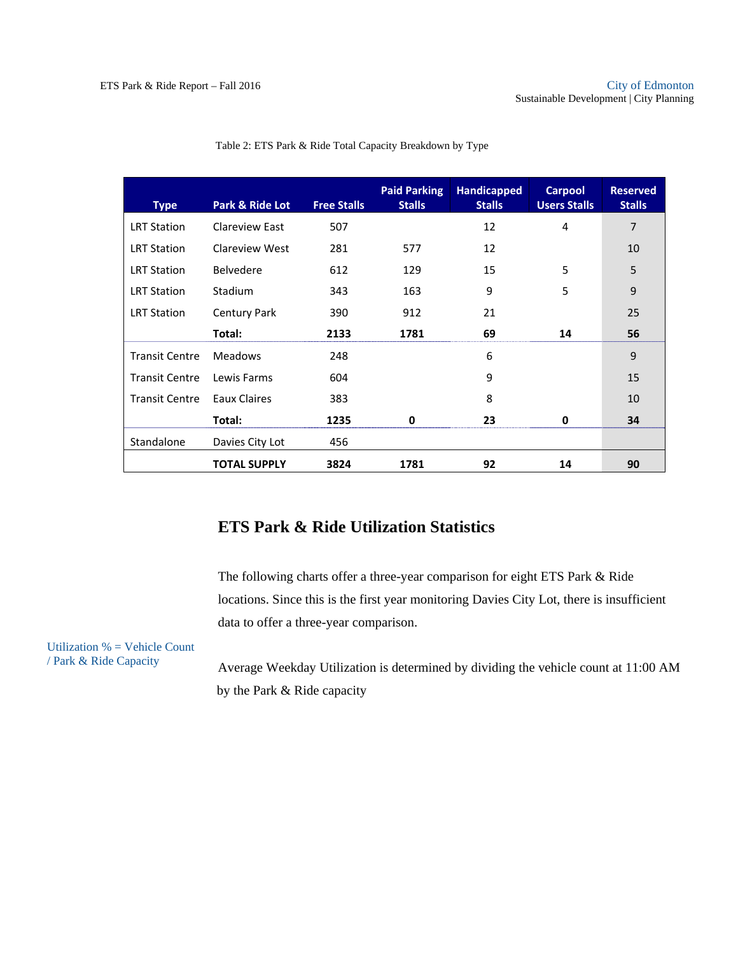| <b>Type</b>           | Park & Ride Lot     | <b>Free Stalls</b> | <b>Paid Parking</b><br><b>Stalls</b> | <b>Handicapped</b><br><b>Stalls</b> | <b>Carpool</b><br><b>Users Stalls</b> | <b>Reserved</b><br><b>Stalls</b> |
|-----------------------|---------------------|--------------------|--------------------------------------|-------------------------------------|---------------------------------------|----------------------------------|
| <b>LRT Station</b>    | Clareview East      | 507                |                                      | 12                                  | 4                                     | 7                                |
| <b>LRT Station</b>    | Clareview West      | 281                | 577                                  | 12                                  |                                       | 10                               |
| <b>LRT Station</b>    | <b>Belvedere</b>    | 612                | 129                                  | 15                                  | 5                                     | 5                                |
| <b>LRT Station</b>    | <b>Stadium</b>      | 343                | 163                                  | 9                                   | 5                                     | 9                                |
| <b>LRT Station</b>    | <b>Century Park</b> | 390                | 912                                  | 21                                  |                                       | 25                               |
|                       | Total:              | 2133               | 1781                                 | 69                                  | 14                                    | 56                               |
| <b>Transit Centre</b> | <b>Meadows</b>      | 248                |                                      | 6                                   |                                       | 9                                |
| <b>Transit Centre</b> | Lewis Farms         | 604                |                                      | 9                                   |                                       | 15                               |
| <b>Transit Centre</b> | Eaux Claires        | 383                |                                      | 8                                   |                                       | 10                               |
|                       | Total:              | 1235               | 0                                    | 23                                  | 0                                     | 34                               |
| Standalone            | Davies City Lot     | 456                |                                      |                                     |                                       |                                  |
|                       | <b>TOTAL SUPPLY</b> | 3824               | 1781                                 | 92                                  | 14                                    | 90                               |

#### Table 2: ETS Park & Ride Total Capacity Breakdown by Type

### **ETS Park & Ride Utilization Statistics**

The following charts offer a three-year comparison for eight ETS Park & Ride locations. Since this is the first year monitoring Davies City Lot, there is insufficient data to offer a three-year comparison.

Utilization % = Vehicle Count / Park & Ride Capacity

Average Weekday Utilization is determined by dividing the vehicle count at 11:00 AM by the Park & Ride capacity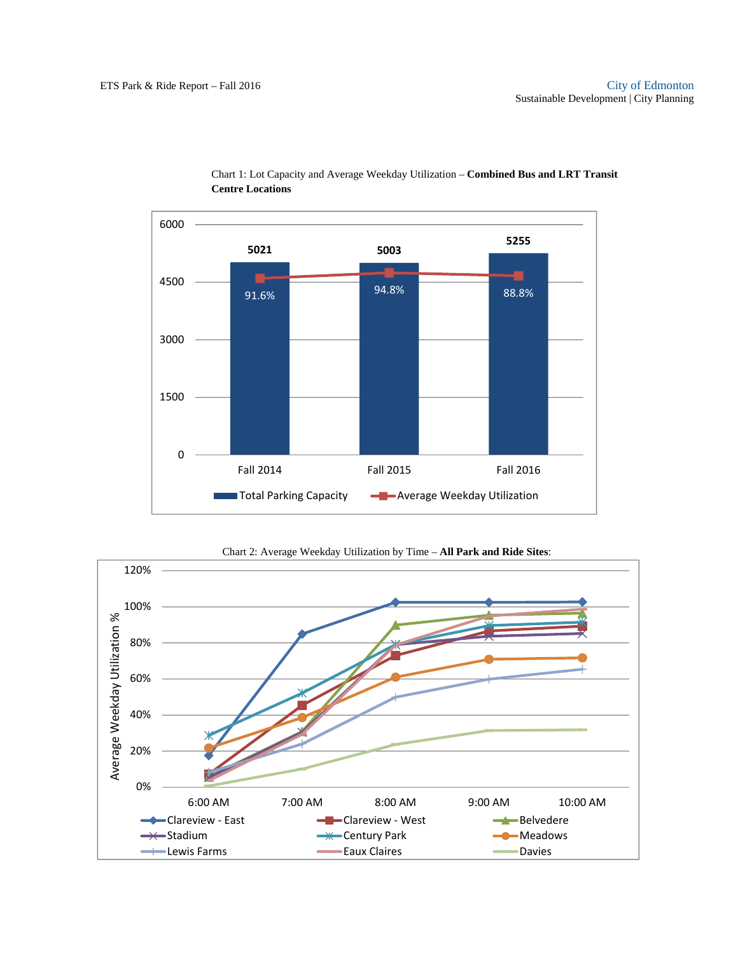

Chart 1: Lot Capacity and Average Weekday Utilization – **Combined Bus and LRT Transit Centre Locations** 

Chart 2: Average Weekday Utilization by Time – **All Park and Ride Sites**:

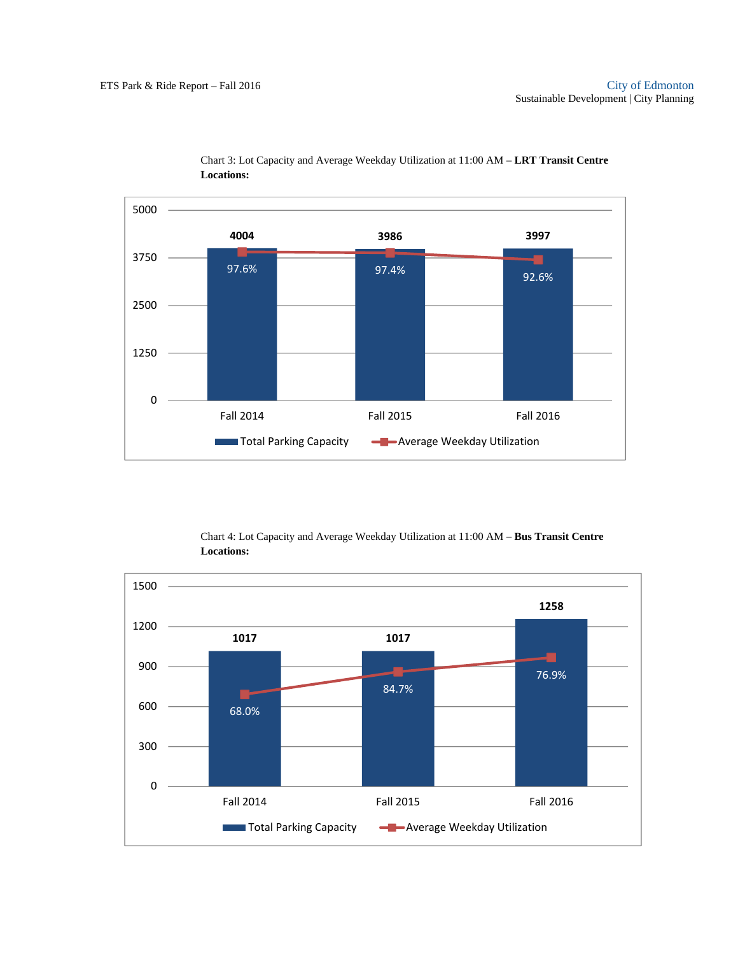

 Chart 3: Lot Capacity and Average Weekday Utilization at 11:00 AM – **LRT Transit Centre Locations:** 

Chart 4: Lot Capacity and Average Weekday Utilization at 11:00 AM – **Bus Transit Centre Locations:** 

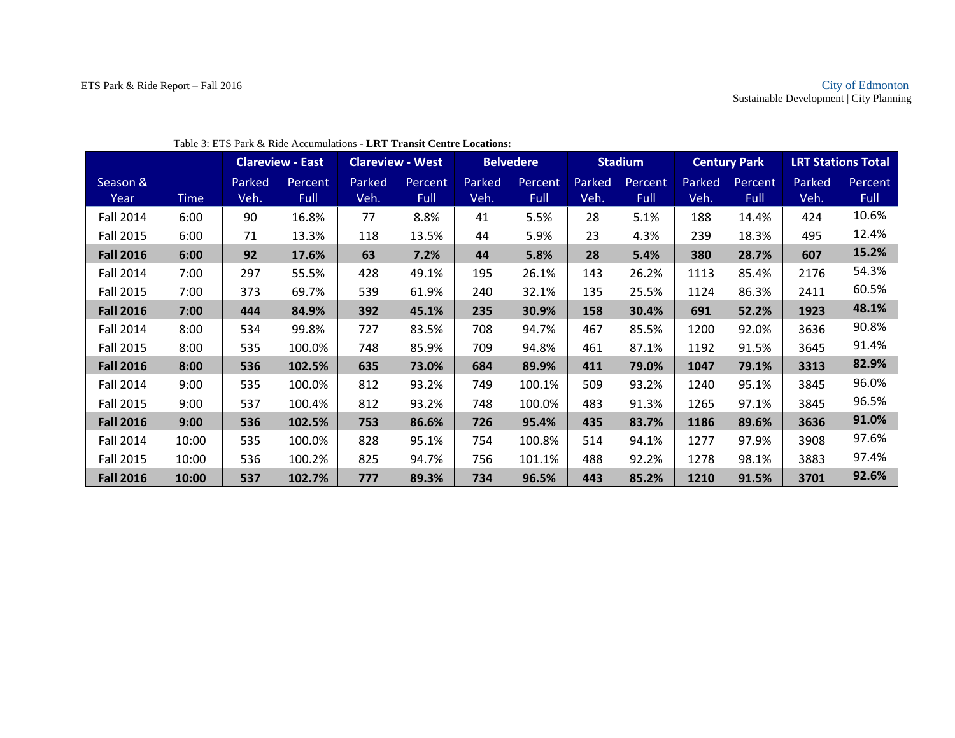|                  |             |        | <b>Clareview - East</b> | <b>Clareview - West</b> |         | <b>Belvedere</b> |                |        | <b>Stadium</b> |        | <b>Century Park</b> |        | <b>LRT Stations Total</b> |
|------------------|-------------|--------|-------------------------|-------------------------|---------|------------------|----------------|--------|----------------|--------|---------------------|--------|---------------------------|
| Season &         |             | Parked | Percent                 | Parked                  | Percent | Parked           | <b>Percent</b> | Parked | Percent        | Parked | Percent             | Parked | Percent                   |
| Year             | <b>Time</b> | Veh.   | <b>Full</b>             | Veh.                    | Full    | Veh.             | Full           | Veh.   | <b>Full</b>    | Veh.   | Full                | Veh.   | Full                      |
| <b>Fall 2014</b> | 6:00        | 90     | 16.8%                   | 77                      | 8.8%    | 41               | 5.5%           | 28     | 5.1%           | 188    | 14.4%               | 424    | 10.6%                     |
| <b>Fall 2015</b> | 6:00        | 71     | 13.3%                   | 118                     | 13.5%   | 44               | 5.9%           | 23     | 4.3%           | 239    | 18.3%               | 495    | 12.4%                     |
| <b>Fall 2016</b> | 6:00        | 92     | 17.6%                   | 63                      | 7.2%    | 44               | 5.8%           | 28     | 5.4%           | 380    | 28.7%               | 607    | 15.2%                     |
| <b>Fall 2014</b> | 7:00        | 297    | 55.5%                   | 428                     | 49.1%   | 195              | 26.1%          | 143    | 26.2%          | 1113   | 85.4%               | 2176   | 54.3%                     |
| <b>Fall 2015</b> | 7:00        | 373    | 69.7%                   | 539                     | 61.9%   | 240              | 32.1%          | 135    | 25.5%          | 1124   | 86.3%               | 2411   | 60.5%                     |
| <b>Fall 2016</b> | 7:00        | 444    | 84.9%                   | 392                     | 45.1%   | 235              | 30.9%          | 158    | 30.4%          | 691    | 52.2%               | 1923   | 48.1%                     |
| <b>Fall 2014</b> | 8:00        | 534    | 99.8%                   | 727                     | 83.5%   | 708              | 94.7%          | 467    | 85.5%          | 1200   | 92.0%               | 3636   | 90.8%                     |
| <b>Fall 2015</b> | 8:00        | 535    | 100.0%                  | 748                     | 85.9%   | 709              | 94.8%          | 461    | 87.1%          | 1192   | 91.5%               | 3645   | 91.4%                     |
| <b>Fall 2016</b> | 8:00        | 536    | 102.5%                  | 635                     | 73.0%   | 684              | 89.9%          | 411    | 79.0%          | 1047   | 79.1%               | 3313   | 82.9%                     |
| <b>Fall 2014</b> | 9:00        | 535    | 100.0%                  | 812                     | 93.2%   | 749              | 100.1%         | 509    | 93.2%          | 1240   | 95.1%               | 3845   | 96.0%                     |
| <b>Fall 2015</b> | 9:00        | 537    | 100.4%                  | 812                     | 93.2%   | 748              | 100.0%         | 483    | 91.3%          | 1265   | 97.1%               | 3845   | 96.5%                     |
| <b>Fall 2016</b> | 9:00        | 536    | 102.5%                  | 753                     | 86.6%   | 726              | 95.4%          | 435    | 83.7%          | 1186   | 89.6%               | 3636   | 91.0%                     |
| <b>Fall 2014</b> | 10:00       | 535    | 100.0%                  | 828                     | 95.1%   | 754              | 100.8%         | 514    | 94.1%          | 1277   | 97.9%               | 3908   | 97.6%                     |
| <b>Fall 2015</b> | 10:00       | 536    | 100.2%                  | 825                     | 94.7%   | 756              | 101.1%         | 488    | 92.2%          | 1278   | 98.1%               | 3883   | 97.4%                     |
| <b>Fall 2016</b> | 10:00       | 537    | 102.7%                  | 777                     | 89.3%   | 734              | 96.5%          | 443    | 85.2%          | 1210   | 91.5%               | 3701   | 92.6%                     |

#### Table 3: ETS Park & Ride Accumulations - **LRT Transit Centre Locations:**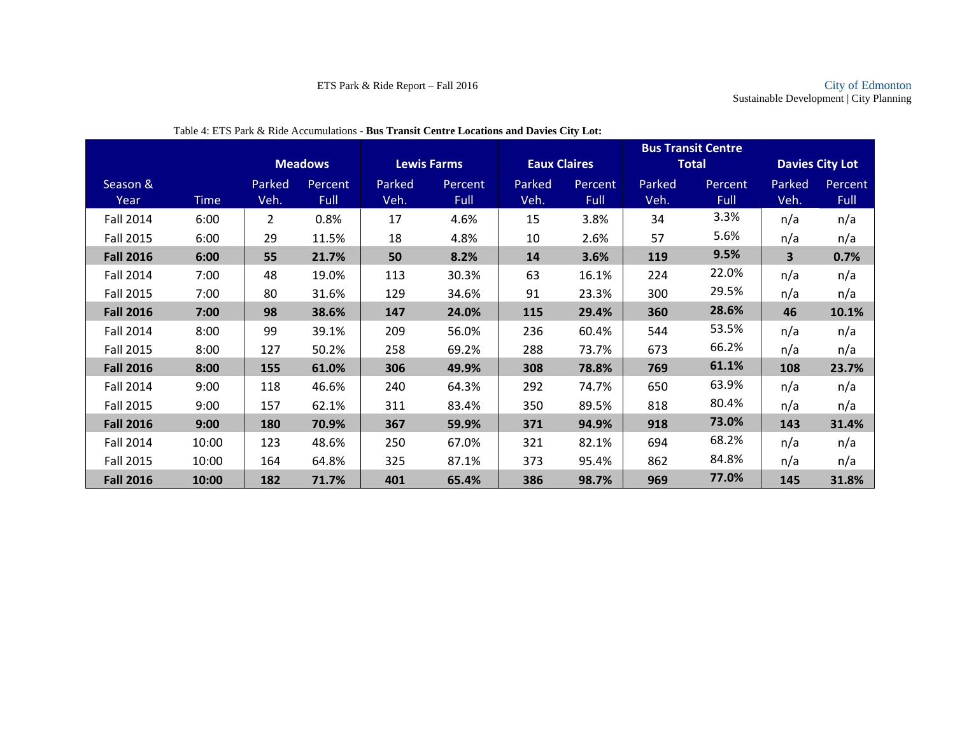|                  |             |                |                |                    |                |                     |                |        | <b>Bus Transit Centre</b> |        |                        |
|------------------|-------------|----------------|----------------|--------------------|----------------|---------------------|----------------|--------|---------------------------|--------|------------------------|
|                  |             |                | <b>Meadows</b> | <b>Lewis Farms</b> |                | <b>Eaux Claires</b> |                |        | <b>Total</b>              |        | <b>Davies City Lot</b> |
| Season &         |             | Parked         | Percent        | Parked             | <b>Percent</b> | Parked              | <b>Percent</b> | Parked | Percent                   | Parked | Percent                |
| Year             | <b>Time</b> | Veh.           | Full           | Veh.               | <b>Full</b>    | Veh.                | <b>Full</b>    | Veh.   | Full                      | Veh.   | Full                   |
| <b>Fall 2014</b> | 6:00        | $\overline{2}$ | 0.8%           | 17                 | 4.6%           | 15                  | 3.8%           | 34     | 3.3%                      | n/a    | n/a                    |
| <b>Fall 2015</b> | 6:00        | 29             | 11.5%          | 18                 | 4.8%           | 10                  | 2.6%           | 57     | 5.6%                      | n/a    | n/a                    |
| <b>Fall 2016</b> | 6:00        | 55             | 21.7%          | 50                 | 8.2%           | 14                  | 3.6%           | 119    | 9.5%                      | 3      | 0.7%                   |
| <b>Fall 2014</b> | 7:00        | 48             | 19.0%          | 113                | 30.3%          | 63                  | 16.1%          | 224    | 22.0%                     | n/a    | n/a                    |
| <b>Fall 2015</b> | 7:00        | 80             | 31.6%          | 129                | 34.6%          | 91                  | 23.3%          | 300    | 29.5%                     | n/a    | n/a                    |
| <b>Fall 2016</b> | 7:00        | 98             | 38.6%          | 147                | 24.0%          | 115                 | 29.4%          | 360    | 28.6%                     | 46     | 10.1%                  |
| <b>Fall 2014</b> | 8:00        | 99             | 39.1%          | 209                | 56.0%          | 236                 | 60.4%          | 544    | 53.5%                     | n/a    | n/a                    |
| <b>Fall 2015</b> | 8:00        | 127            | 50.2%          | 258                | 69.2%          | 288                 | 73.7%          | 673    | 66.2%                     | n/a    | n/a                    |
| <b>Fall 2016</b> | 8:00        | 155            | 61.0%          | 306                | 49.9%          | 308                 | 78.8%          | 769    | 61.1%                     | 108    | 23.7%                  |
| <b>Fall 2014</b> | 9:00        | 118            | 46.6%          | 240                | 64.3%          | 292                 | 74.7%          | 650    | 63.9%                     | n/a    | n/a                    |
| <b>Fall 2015</b> | 9:00        | 157            | 62.1%          | 311                | 83.4%          | 350                 | 89.5%          | 818    | 80.4%                     | n/a    | n/a                    |
| <b>Fall 2016</b> | 9:00        | 180            | 70.9%          | 367                | 59.9%          | 371                 | 94.9%          | 918    | 73.0%                     | 143    | 31.4%                  |
| <b>Fall 2014</b> | 10:00       | 123            | 48.6%          | 250                | 67.0%          | 321                 | 82.1%          | 694    | 68.2%                     | n/a    | n/a                    |
| <b>Fall 2015</b> | 10:00       | 164            | 64.8%          | 325                | 87.1%          | 373                 | 95.4%          | 862    | 84.8%                     | n/a    | n/a                    |
| <b>Fall 2016</b> | 10:00       | 182            | 71.7%          | 401                | 65.4%          | 386                 | 98.7%          | 969    | 77.0%                     | 145    | 31.8%                  |

Table 4: ETS Park & Ride Accumulations - **Bus Transit Centre Locations and Davies City Lot:**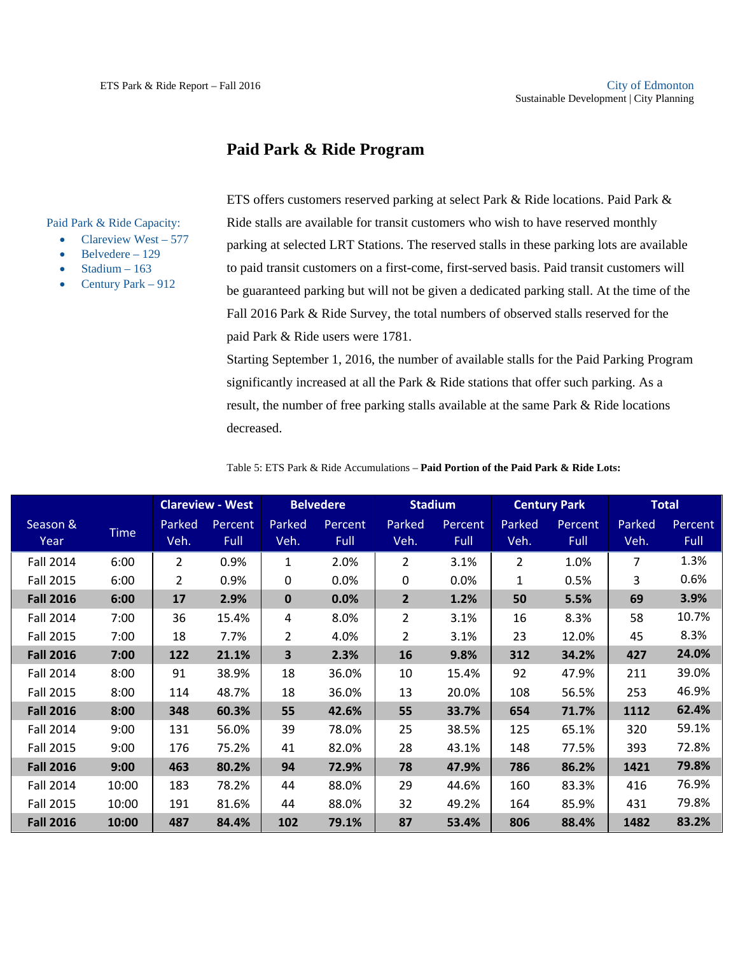### **Paid Park & Ride Program**

Paid Park & Ride Capacity:

- Clareview West  $577$
- Belvedere 129
- Stadium 163
- Century Park 912

ETS offers customers reserved parking at select Park & Ride locations. Paid Park & Ride stalls are available for transit customers who wish to have reserved monthly parking at selected LRT Stations. The reserved stalls in these parking lots are available to paid transit customers on a first-come, first-served basis. Paid transit customers will be guaranteed parking but will not be given a dedicated parking stall. At the time of the Fall 2016 Park & Ride Survey, the total numbers of observed stalls reserved for the paid Park & Ride users were 1781.

Starting September 1, 2016, the number of available stalls for the Paid Parking Program significantly increased at all the Park & Ride stations that offer such parking. As a result, the number of free parking stalls available at the same Park & Ride locations decreased.

|                  |             |                | <b>Clareview - West</b> | <b>Belvedere</b> |                 | <b>Stadium</b> |                        |                | <b>Century Park</b>    | <b>Total</b>   |                 |
|------------------|-------------|----------------|-------------------------|------------------|-----------------|----------------|------------------------|----------------|------------------------|----------------|-----------------|
| Season &<br>Year | <b>Time</b> | Parked<br>Veh. | Percent<br>Full         | Parked<br>Veh.   | Percent<br>Full | Parked<br>Veh. | Percent<br><b>Full</b> | Parked<br>Veh. | Percent<br><b>Full</b> | Parked<br>Veh. | Percent<br>Full |
| <b>Fall 2014</b> | 6:00        | $\overline{2}$ | 0.9%                    | 1                | 2.0%            | $\overline{2}$ | 3.1%                   | $\overline{2}$ | 1.0%                   | 7              | 1.3%            |
| <b>Fall 2015</b> | 6:00        | 2              | 0.9%                    | 0                | 0.0%            | 0              | 0.0%                   | 1              | 0.5%                   | 3              | 0.6%            |
| <b>Fall 2016</b> | 6:00        | 17             | 2.9%                    | $\mathbf 0$      | 0.0%            | $\overline{2}$ | 1.2%                   | 50             | 5.5%                   | 69             | 3.9%            |
| <b>Fall 2014</b> | 7:00        | 36             | 15.4%                   | 4                | 8.0%            | $\overline{2}$ | 3.1%                   | 16             | 8.3%                   | 58             | 10.7%           |
| <b>Fall 2015</b> | 7:00        | 18             | 7.7%                    | 2                | 4.0%            | 2              | 3.1%                   | 23             | 12.0%                  | 45             | 8.3%            |
| <b>Fall 2016</b> | 7:00        | 122            | 21.1%                   | 3                | 2.3%            | 16             | 9.8%                   | 312            | 34.2%                  | 427            | 24.0%           |
| <b>Fall 2014</b> | 8:00        | 91             | 38.9%                   | 18               | 36.0%           | 10             | 15.4%                  | 92             | 47.9%                  | 211            | 39.0%           |
| <b>Fall 2015</b> | 8:00        | 114            | 48.7%                   | 18               | 36.0%           | 13             | 20.0%                  | 108            | 56.5%                  | 253            | 46.9%           |
| <b>Fall 2016</b> | 8:00        | 348            | 60.3%                   | 55               | 42.6%           | 55             | 33.7%                  | 654            | 71.7%                  | 1112           | 62.4%           |
| <b>Fall 2014</b> | 9:00        | 131            | 56.0%                   | 39               | 78.0%           | 25             | 38.5%                  | 125            | 65.1%                  | 320            | 59.1%           |
| <b>Fall 2015</b> | 9:00        | 176            | 75.2%                   | 41               | 82.0%           | 28             | 43.1%                  | 148            | 77.5%                  | 393            | 72.8%           |
| <b>Fall 2016</b> | 9:00        | 463            | 80.2%                   | 94               | 72.9%           | 78             | 47.9%                  | 786            | 86.2%                  | 1421           | 79.8%           |
| <b>Fall 2014</b> | 10:00       | 183            | 78.2%                   | 44               | 88.0%           | 29             | 44.6%                  | 160            | 83.3%                  | 416            | 76.9%           |
| <b>Fall 2015</b> | 10:00       | 191            | 81.6%                   | 44               | 88.0%           | 32             | 49.2%                  | 164            | 85.9%                  | 431            | 79.8%           |
| <b>Fall 2016</b> | 10:00       | 487            | 84.4%                   | 102              | 79.1%           | 87             | 53.4%                  | 806            | 88.4%                  | 1482           | 83.2%           |

Table 5: ETS Park & Ride Accumulations – **Paid Portion of the Paid Park & Ride Lots:**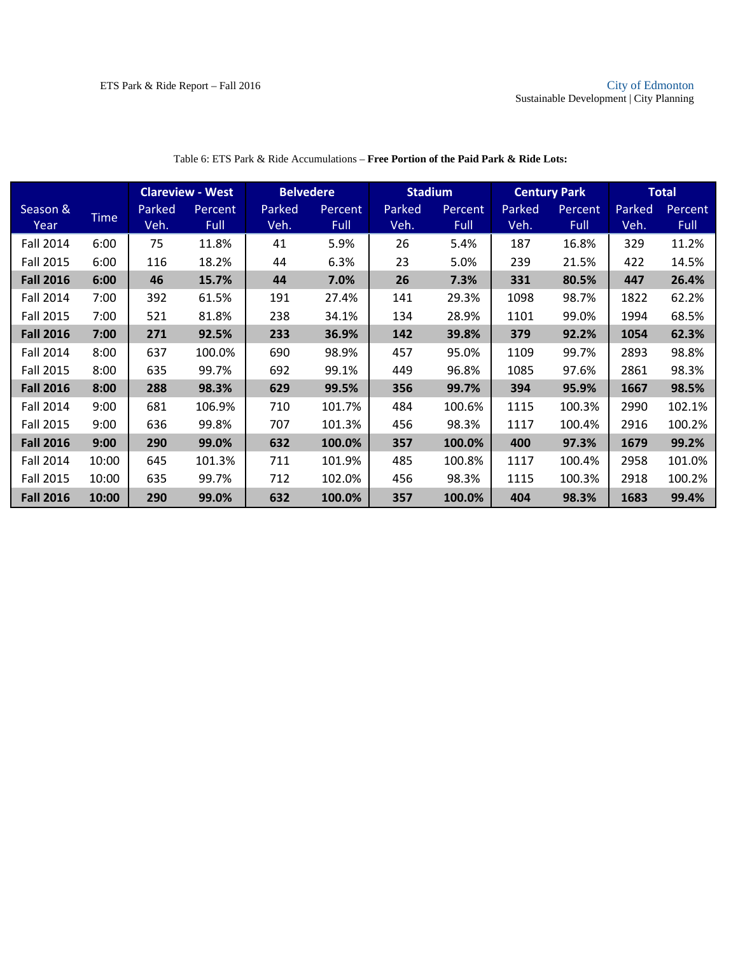|                  |             |        | <b>Clareview - West</b> | <b>Belvedere</b> |         | <b>Stadium</b> |         |        | <b>Century Park</b> |        | <b>Total</b> |
|------------------|-------------|--------|-------------------------|------------------|---------|----------------|---------|--------|---------------------|--------|--------------|
| Season &         |             | Parked | Percent                 | Parked           | Percent | Parked         | Percent | Parked | Percent             | Parked | Percent      |
| Year             | <b>Time</b> | Veh.   | Full                    | Veh.             | Full    | Veh.           | Full    | Veh.   | Full                | Veh.   | <b>Full</b>  |
| <b>Fall 2014</b> | 6:00        | 75     | 11.8%                   | 41               | 5.9%    | 26             | 5.4%    | 187    | 16.8%               | 329    | 11.2%        |
| <b>Fall 2015</b> | 6:00        | 116    | 18.2%                   | 44               | 6.3%    | 23             | 5.0%    | 239    | 21.5%               | 422    | 14.5%        |
| <b>Fall 2016</b> | 6:00        | 46     | 15.7%                   | 44               | 7.0%    | 26             | 7.3%    | 331    | 80.5%               | 447    | 26.4%        |
| <b>Fall 2014</b> | 7:00        | 392    | 61.5%                   | 191              | 27.4%   | 141            | 29.3%   | 1098   | 98.7%               | 1822   | 62.2%        |
| <b>Fall 2015</b> | 7:00        | 521    | 81.8%                   | 238              | 34.1%   | 134            | 28.9%   | 1101   | 99.0%               | 1994   | 68.5%        |
| <b>Fall 2016</b> | 7:00        | 271    | 92.5%                   | 233              | 36.9%   | 142            | 39.8%   | 379    | 92.2%               | 1054   | 62.3%        |
| <b>Fall 2014</b> | 8:00        | 637    | 100.0%                  | 690              | 98.9%   | 457            | 95.0%   | 1109   | 99.7%               | 2893   | 98.8%        |
| <b>Fall 2015</b> | 8:00        | 635    | 99.7%                   | 692              | 99.1%   | 449            | 96.8%   | 1085   | 97.6%               | 2861   | 98.3%        |
| <b>Fall 2016</b> | 8:00        | 288    | 98.3%                   | 629              | 99.5%   | 356            | 99.7%   | 394    | 95.9%               | 1667   | 98.5%        |
| Fall 2014        | 9:00        | 681    | 106.9%                  | 710              | 101.7%  | 484            | 100.6%  | 1115   | 100.3%              | 2990   | 102.1%       |
| <b>Fall 2015</b> | 9:00        | 636    | 99.8%                   | 707              | 101.3%  | 456            | 98.3%   | 1117   | 100.4%              | 2916   | 100.2%       |
| <b>Fall 2016</b> | 9:00        | 290    | 99.0%                   | 632              | 100.0%  | 357            | 100.0%  | 400    | 97.3%               | 1679   | 99.2%        |
| <b>Fall 2014</b> | 10:00       | 645    | 101.3%                  | 711              | 101.9%  | 485            | 100.8%  | 1117   | 100.4%              | 2958   | 101.0%       |
| <b>Fall 2015</b> | 10:00       | 635    | 99.7%                   | 712              | 102.0%  | 456            | 98.3%   | 1115   | 100.3%              | 2918   | 100.2%       |
| <b>Fall 2016</b> | 10:00       | 290    | 99.0%                   | 632              | 100.0%  | 357            | 100.0%  | 404    | 98.3%               | 1683   | 99.4%        |

#### Table 6: ETS Park & Ride Accumulations – **Free Portion of the Paid Park & Ride Lots:**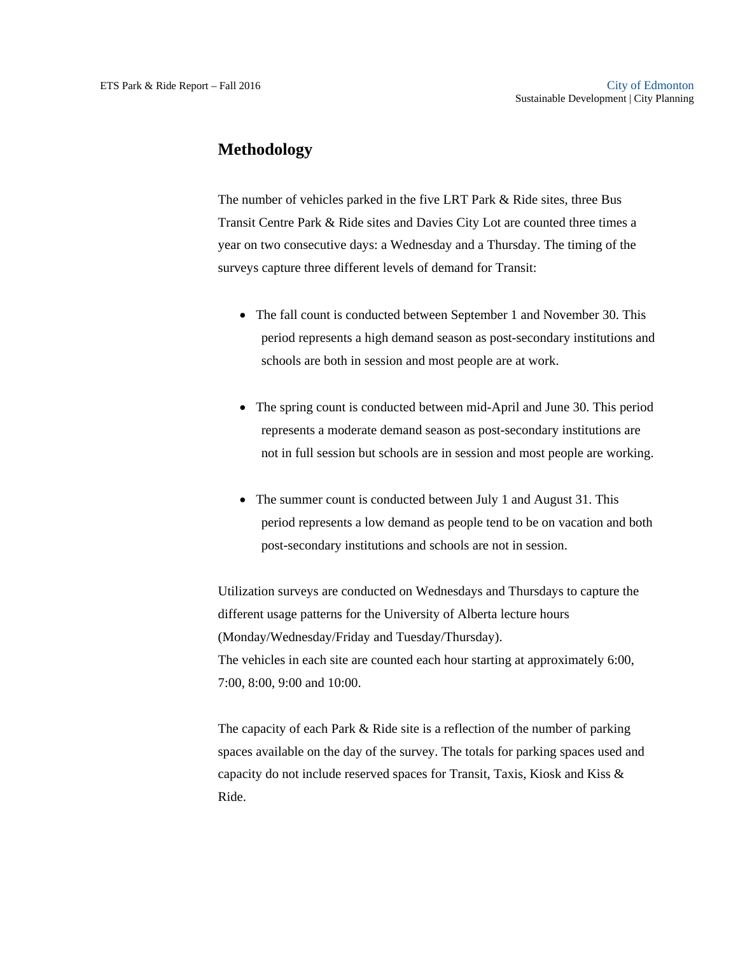### **Methodology**

The number of vehicles parked in the five LRT Park & Ride sites, three Bus Transit Centre Park & Ride sites and Davies City Lot are counted three times a year on two consecutive days: a Wednesday and a Thursday. The timing of the surveys capture three different levels of demand for Transit:

- The fall count is conducted between September 1 and November 30. This period represents a high demand season as post-secondary institutions and schools are both in session and most people are at work.
- The spring count is conducted between mid-April and June 30. This period represents a moderate demand season as post-secondary institutions are not in full session but schools are in session and most people are working.
- The summer count is conducted between July 1 and August 31. This period represents a low demand as people tend to be on vacation and both post-secondary institutions and schools are not in session.

Utilization surveys are conducted on Wednesdays and Thursdays to capture the different usage patterns for the University of Alberta lecture hours (Monday/Wednesday/Friday and Tuesday/Thursday). The vehicles in each site are counted each hour starting at approximately 6:00, 7:00, 8:00, 9:00 and 10:00.

The capacity of each Park & Ride site is a reflection of the number of parking spaces available on the day of the survey. The totals for parking spaces used and capacity do not include reserved spaces for Transit, Taxis, Kiosk and Kiss & Ride.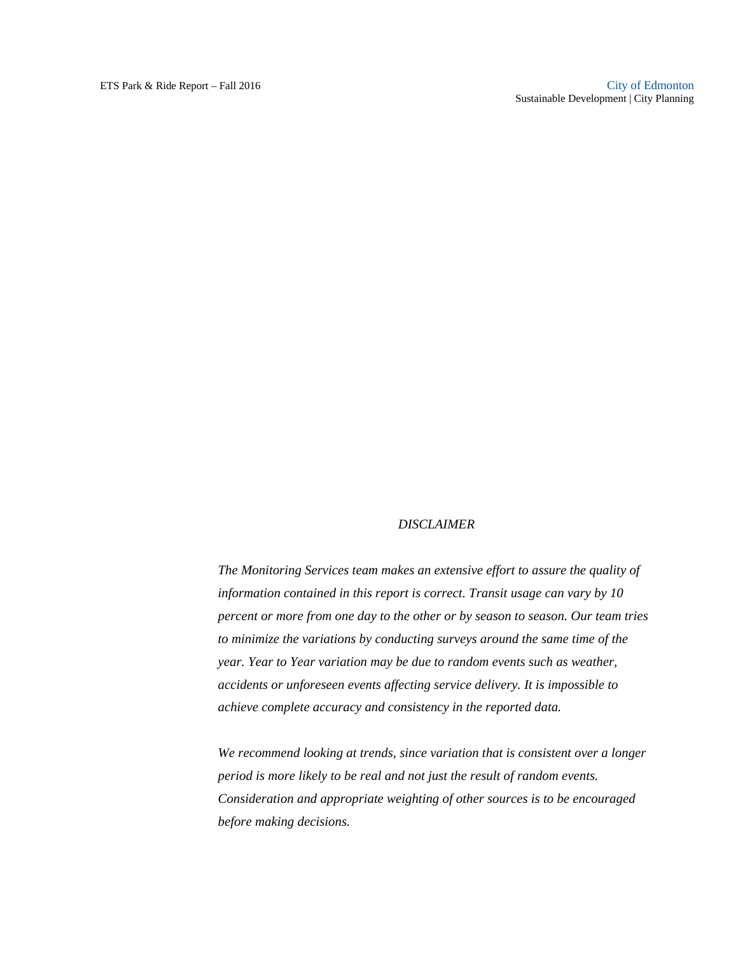#### *DISCLAIMER*

*The Monitoring Services team makes an extensive effort to assure the quality of information contained in this report is correct. Transit usage can vary by 10 percent or more from one day to the other or by season to season. Our team tries to minimize the variations by conducting surveys around the same time of the year. Year to Year variation may be due to random events such as weather, accidents or unforeseen events affecting service delivery. It is impossible to achieve complete accuracy and consistency in the reported data.* 

*We recommend looking at trends, since variation that is consistent over a longer period is more likely to be real and not just the result of random events. Consideration and appropriate weighting of other sources is to be encouraged before making decisions.*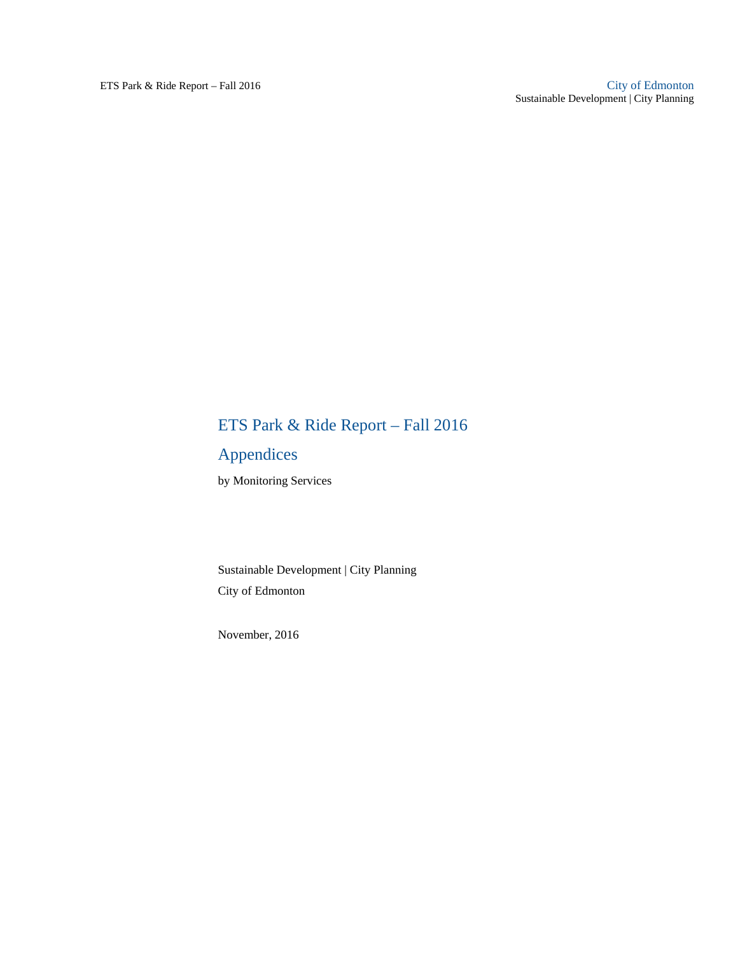# ETS Park & Ride Report – Fall 2016

# Appendices

by Monitoring Services

Sustainable Development | City Planning City of Edmonton

November, 2016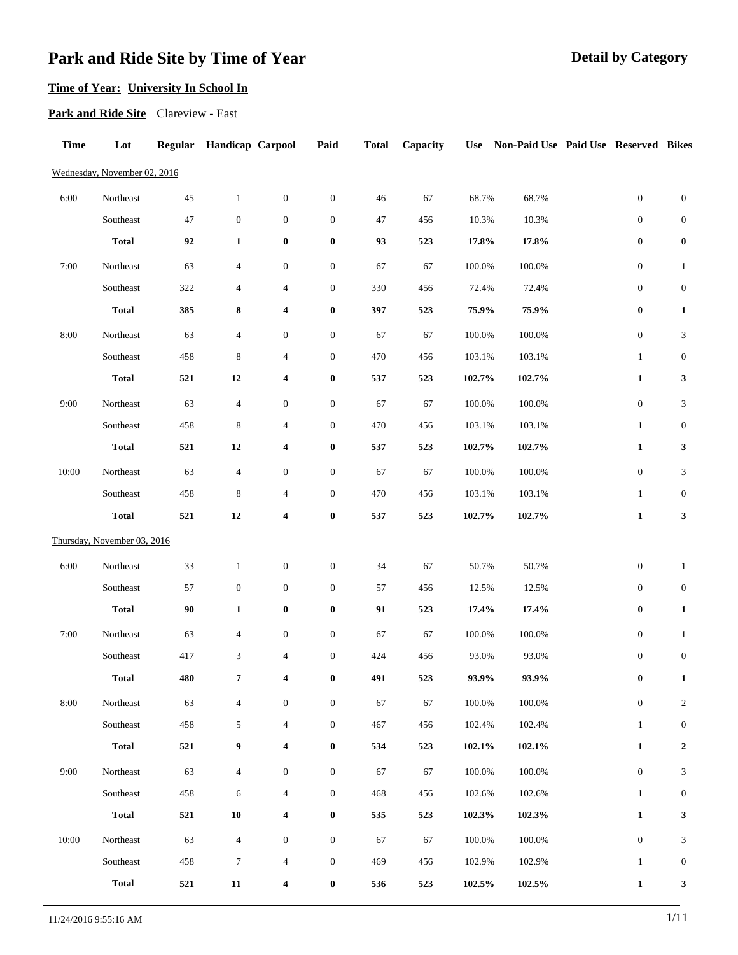# **Time of Year: University In School In**

**Park and Ride Site** Clareview - East

| <b>Time</b> | Lot                          |        | Regular Handicap Carpool |                          | Paid             | <b>Total</b> | Capacity | <b>Use</b> | Non-Paid Use Paid Use Reserved Bikes |                  |                             |
|-------------|------------------------------|--------|--------------------------|--------------------------|------------------|--------------|----------|------------|--------------------------------------|------------------|-----------------------------|
|             | Wednesday, November 02, 2016 |        |                          |                          |                  |              |          |            |                                      |                  |                             |
| 6:00        | Northeast                    | 45     | $\mathbf{1}$             | $\boldsymbol{0}$         | $\boldsymbol{0}$ | 46           | 67       | 68.7%      | 68.7%                                | $\boldsymbol{0}$ | $\boldsymbol{0}$            |
|             | Southeast                    | 47     | $\boldsymbol{0}$         | $\boldsymbol{0}$         | $\boldsymbol{0}$ | 47           | 456      | 10.3%      | 10.3%                                | $\boldsymbol{0}$ | $\boldsymbol{0}$            |
|             | <b>Total</b>                 | 92     | $\mathbf{1}$             | $\pmb{0}$                | $\bf{0}$         | 93           | 523      | 17.8%      | 17.8%                                | $\boldsymbol{0}$ | $\boldsymbol{0}$            |
| 7:00        | Northeast                    | 63     | 4                        | $\boldsymbol{0}$         | $\boldsymbol{0}$ | 67           | 67       | 100.0%     | 100.0%                               | $\boldsymbol{0}$ | $\mathbf{1}$                |
|             | Southeast                    | 322    | 4                        | 4                        | $\boldsymbol{0}$ | 330          | 456      | 72.4%      | 72.4%                                | $\boldsymbol{0}$ | $\boldsymbol{0}$            |
|             | <b>Total</b>                 | 385    | 8                        | 4                        | $\boldsymbol{0}$ | 397          | 523      | 75.9%      | 75.9%                                | $\bf{0}$         | $\mathbf{1}$                |
| 8:00        | Northeast                    | 63     | $\overline{4}$           | $\boldsymbol{0}$         | $\boldsymbol{0}$ | 67           | 67       | 100.0%     | 100.0%                               | $\boldsymbol{0}$ | 3                           |
|             | Southeast                    | 458    | 8                        | $\overline{4}$           | $\boldsymbol{0}$ | 470          | 456      | 103.1%     | 103.1%                               | $\mathbf{1}$     | $\boldsymbol{0}$            |
|             | <b>Total</b>                 | 521    | 12                       | 4                        | 0                | 537          | 523      | 102.7%     | 102.7%                               | $\mathbf{1}$     | 3                           |
| 9:00        | Northeast                    | 63     | 4                        | $\boldsymbol{0}$         | $\boldsymbol{0}$ | 67           | 67       | 100.0%     | 100.0%                               | $\boldsymbol{0}$ | 3                           |
|             | Southeast                    | 458    | 8                        | $\overline{\mathcal{A}}$ | $\boldsymbol{0}$ | 470          | 456      | 103.1%     | 103.1%                               | $\mathbf{1}$     | $\boldsymbol{0}$            |
|             | <b>Total</b>                 | 521    | 12                       | 4                        | 0                | 537          | 523      | 102.7%     | 102.7%                               | $\mathbf{1}$     | 3                           |
| 10:00       | Northeast                    | 63     | $\overline{4}$           | $\boldsymbol{0}$         | $\boldsymbol{0}$ | 67           | 67       | 100.0%     | 100.0%                               | $\boldsymbol{0}$ | $\ensuremath{\mathfrak{Z}}$ |
|             | Southeast                    | 458    | 8                        | $\overline{4}$           | $\boldsymbol{0}$ | 470          | 456      | 103.1%     | 103.1%                               | $\mathbf{1}$     | $\boldsymbol{0}$            |
|             | <b>Total</b>                 | 521    | 12                       | $\boldsymbol{4}$         | $\pmb{0}$        | 537          | 523      | 102.7%     | 102.7%                               | $\mathbf{1}$     | $\mathbf{3}$                |
|             | Thursday, November 03, 2016  |        |                          |                          |                  |              |          |            |                                      |                  |                             |
| 6:00        | Northeast                    | 33     | $\mathbf{1}$             | $\boldsymbol{0}$         | $\boldsymbol{0}$ | 34           | 67       | 50.7%      | 50.7%                                | $\boldsymbol{0}$ | $\mathbf{1}$                |
|             | Southeast                    | 57     | $\boldsymbol{0}$         | $\boldsymbol{0}$         | $\boldsymbol{0}$ | 57           | 456      | 12.5%      | 12.5%                                | $\boldsymbol{0}$ | $\boldsymbol{0}$            |
|             | <b>Total</b>                 | $90\,$ | $\mathbf{1}$             | $\pmb{0}$                | 0                | 91           | 523      | 17.4%      | 17.4%                                | 0                | $\mathbf{1}$                |
| 7:00        | Northeast                    | 63     | 4                        | $\boldsymbol{0}$         | $\boldsymbol{0}$ | 67           | 67       | 100.0%     | 100.0%                               | $\boldsymbol{0}$ | $\mathbf{1}$                |
|             | Southeast                    | 417    | 3                        | $\overline{4}$           | $\boldsymbol{0}$ | 424          | 456      | 93.0%      | 93.0%                                | $\boldsymbol{0}$ | $\boldsymbol{0}$            |
|             | <b>Total</b>                 | 480    | 7                        | 4                        | $\boldsymbol{0}$ | 491          | 523      | $93.9\%$   | 93.9%                                | $\pmb{0}$        | 1                           |
| 8:00        | Northeast                    | 63     | $\overline{4}$           | $\boldsymbol{0}$         | $\boldsymbol{0}$ | 67           | 67       | 100.0%     | 100.0%                               | $\boldsymbol{0}$ | $\sqrt{2}$                  |
|             | $\textsc{Southeast}$         | 458    | $\mathfrak{S}$           | 4                        | $\boldsymbol{0}$ | 467          | 456      | 102.4%     | 102.4%                               | $\mathbf{1}$     | $\boldsymbol{0}$            |
|             | <b>Total</b>                 | 521    | $\boldsymbol{9}$         | 4                        | $\bf{0}$         | 534          | 523      | 102.1%     | 102.1%                               | $\mathbf{1}$     | $\mathbf{2}$                |
| 9:00        | Northeast                    | 63     | $\overline{4}$           | $\boldsymbol{0}$         | $\boldsymbol{0}$ | 67           | 67       | 100.0%     | 100.0%                               | $\boldsymbol{0}$ | 3                           |
|             | Southeast                    | 458    | 6                        | $\overline{4}$           | $\boldsymbol{0}$ | 468          | 456      | 102.6%     | 102.6%                               | $\mathbf{1}$     | $\boldsymbol{0}$            |
|             | <b>Total</b>                 | 521    | ${\bf 10}$               | 4                        | $\bf{0}$         | 535          | 523      | 102.3%     | 102.3%                               | $\mathbf{1}$     | 3                           |
| 10:00       | Northeast                    | 63     | $\overline{\mathcal{A}}$ | $\boldsymbol{0}$         | $\boldsymbol{0}$ | 67           | 67       | 100.0%     | 100.0%                               | $\boldsymbol{0}$ | $\ensuremath{\mathfrak{Z}}$ |
|             | Southeast                    | 458    | $\tau$                   | $\overline{4}$           | $\boldsymbol{0}$ | 469          | 456      | 102.9%     | 102.9%                               | $\mathbf{1}$     | $\boldsymbol{0}$            |
|             | <b>Total</b>                 | 521    | ${\bf 11}$               | 4                        | $\bf{0}$         | 536          | 523      | 102.5%     | 102.5%                               | $\mathbf{1}$     | 3                           |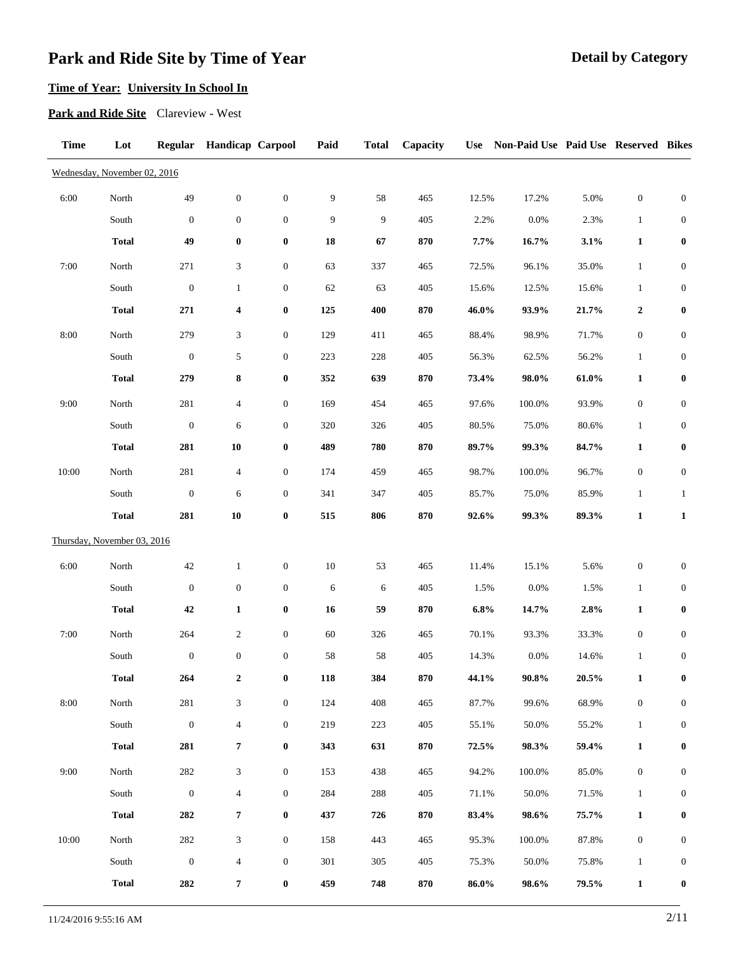# **Time of Year: University In School In**

**Park and Ride Site** Clareview - West

| <b>Time</b> | Lot                          |                  | Regular Handicap Carpool |                  | Paid   | <b>Total</b> | Capacity |       | Use Non-Paid Use Paid Use Reserved Bikes |          |                  |                  |
|-------------|------------------------------|------------------|--------------------------|------------------|--------|--------------|----------|-------|------------------------------------------|----------|------------------|------------------|
|             | Wednesday, November 02, 2016 |                  |                          |                  |        |              |          |       |                                          |          |                  |                  |
| 6:00        | North                        | 49               | $\boldsymbol{0}$         | $\boldsymbol{0}$ | 9      | 58           | 465      | 12.5% | 17.2%                                    | 5.0%     | $\boldsymbol{0}$ | $\boldsymbol{0}$ |
|             | South                        | $\mathbf{0}$     | $\boldsymbol{0}$         | $\boldsymbol{0}$ | 9      | 9            | 405      | 2.2%  | 0.0%                                     | 2.3%     | $\mathbf{1}$     | $\boldsymbol{0}$ |
|             | <b>Total</b>                 | 49               | $\pmb{0}$                | $\boldsymbol{0}$ | 18     | 67           | 870      | 7.7%  | 16.7%                                    | 3.1%     | $\mathbf{1}$     | $\pmb{0}$        |
| 7:00        | North                        | 271              | 3                        | $\boldsymbol{0}$ | 63     | 337          | 465      | 72.5% | 96.1%                                    | 35.0%    | $\mathbf{1}$     | $\boldsymbol{0}$ |
|             | South                        | $\boldsymbol{0}$ | $\mathbf{1}$             | $\boldsymbol{0}$ | 62     | 63           | 405      | 15.6% | 12.5%                                    | 15.6%    | $\mathbf{1}$     | $\boldsymbol{0}$ |
|             | <b>Total</b>                 | 271              | 4                        | $\bf{0}$         | 125    | 400          | 870      | 46.0% | 93.9%                                    | 21.7%    | $\boldsymbol{2}$ | $\boldsymbol{0}$ |
| 8:00        | North                        | 279              | 3                        | $\boldsymbol{0}$ | 129    | 411          | 465      | 88.4% | 98.9%                                    | 71.7%    | $\boldsymbol{0}$ | $\boldsymbol{0}$ |
|             | South                        | $\boldsymbol{0}$ | 5                        | $\boldsymbol{0}$ | 223    | 228          | 405      | 56.3% | 62.5%                                    | 56.2%    | $\mathbf{1}$     | $\boldsymbol{0}$ |
|             | <b>Total</b>                 | 279              | 8                        | $\boldsymbol{0}$ | 352    | 639          | 870      | 73.4% | 98.0%                                    | 61.0%    | $\mathbf{1}$     | $\pmb{0}$        |
| 9:00        | North                        | 281              | $\overline{4}$           | $\boldsymbol{0}$ | 169    | 454          | 465      | 97.6% | 100.0%                                   | 93.9%    | $\boldsymbol{0}$ | $\boldsymbol{0}$ |
|             | South                        | $\boldsymbol{0}$ | 6                        | $\boldsymbol{0}$ | 320    | 326          | 405      | 80.5% | 75.0%                                    | 80.6%    | $\mathbf{1}$     | $\boldsymbol{0}$ |
|             | <b>Total</b>                 | 281              | ${\bf 10}$               | $\pmb{0}$        | 489    | 780          | 870      | 89.7% | 99.3%                                    | 84.7%    | $\mathbf{1}$     | $\bf{0}$         |
| 10:00       | North                        | 281              | $\overline{4}$           | $\boldsymbol{0}$ | 174    | 459          | 465      | 98.7% | 100.0%                                   | 96.7%    | $\boldsymbol{0}$ | $\boldsymbol{0}$ |
|             | South                        | $\boldsymbol{0}$ | 6                        | $\boldsymbol{0}$ | 341    | 347          | 405      | 85.7% | 75.0%                                    | 85.9%    | $\mathbf{1}$     | $\mathbf{1}$     |
|             | <b>Total</b>                 | 281              | 10                       | $\pmb{0}$        | 515    | 806          | 870      | 92.6% | 99.3%                                    | 89.3%    | $\mathbf{1}$     | $\mathbf{1}$     |
|             | Thursday, November 03, 2016  |                  |                          |                  |        |              |          |       |                                          |          |                  |                  |
| 6:00        | North                        | $42\,$           | $\mathbf{1}$             | $\boldsymbol{0}$ | $10\,$ | 53           | 465      | 11.4% | 15.1%                                    | 5.6%     | $\boldsymbol{0}$ | $\boldsymbol{0}$ |
|             | South                        | $\mathbf{0}$     | $\mathbf{0}$             | $\boldsymbol{0}$ | 6      | 6            | 405      | 1.5%  | 0.0%                                     | 1.5%     | $\mathbf{1}$     | $\boldsymbol{0}$ |
|             | <b>Total</b>                 | 42               | $\mathbf{1}$             | $\bf{0}$         | 16     | 59           | 870      | 6.8%  | 14.7%                                    | 2.8%     | $\mathbf{1}$     | $\bf{0}$         |
| 7:00        | North                        | 264              | $\overline{2}$           | $\boldsymbol{0}$ | 60     | 326          | 465      | 70.1% | 93.3%                                    | 33.3%    | $\boldsymbol{0}$ | $\boldsymbol{0}$ |
|             | South                        | $\boldsymbol{0}$ | $\boldsymbol{0}$         | $\boldsymbol{0}$ | 58     | 58           | 405      | 14.3% | 0.0%                                     | 14.6%    | $\mathbf{1}$     | $\boldsymbol{0}$ |
|             | <b>Total</b>                 | 264              | $\boldsymbol{2}$         | $\pmb{0}$        | 118    | 384          | 870      | 44.1% | $90.8\%$                                 | $20.5\%$ | $\mathbf{1}$     | $\boldsymbol{0}$ |
| 8:00        | North                        | 281              | $\mathfrak{Z}$           | $\boldsymbol{0}$ | 124    | 408          | 465      | 87.7% | 99.6%                                    | 68.9%    | $\boldsymbol{0}$ | $\boldsymbol{0}$ |
|             | South                        | $\boldsymbol{0}$ | $\overline{4}$           | $\boldsymbol{0}$ | 219    | 223          | 405      | 55.1% | 50.0%                                    | 55.2%    | $\mathbf{1}$     | $\boldsymbol{0}$ |
|             | <b>Total</b>                 | 281              | $\pmb{7}$                | $\boldsymbol{0}$ | 343    | 631          | 870      | 72.5% | 98.3%                                    | 59.4%    | $\mathbf{1}$     | $\boldsymbol{0}$ |
| 9:00        | North                        | 282              | 3                        | $\boldsymbol{0}$ | 153    | 438          | 465      | 94.2% | 100.0%                                   | 85.0%    | $\boldsymbol{0}$ | $\boldsymbol{0}$ |
|             | South                        | $\boldsymbol{0}$ | $\overline{4}$           | $\boldsymbol{0}$ | 284    | 288          | 405      | 71.1% | 50.0%                                    | 71.5%    | $\mathbf{1}$     | $\boldsymbol{0}$ |
|             | <b>Total</b>                 | 282              | 7                        | $\boldsymbol{0}$ | 437    | 726          | 870      | 83.4% | 98.6%                                    | 75.7%    | $\mathbf{1}$     | $\bf{0}$         |
| 10:00       | North                        | 282              | 3                        | $\boldsymbol{0}$ | 158    | 443          | 465      | 95.3% | 100.0%                                   | 87.8%    | $\boldsymbol{0}$ | $\boldsymbol{0}$ |
|             | South                        | $\boldsymbol{0}$ | $\overline{4}$           | $\boldsymbol{0}$ | 301    | 305          | 405      | 75.3% | 50.0%                                    | 75.8%    | $\mathbf{1}$     | $\boldsymbol{0}$ |
|             | <b>Total</b>                 | 282              | 7                        | $\boldsymbol{0}$ | 459    | 748          | 870      | 86.0% | 98.6%                                    | 79.5%    | $\mathbf{1}$     | $\boldsymbol{0}$ |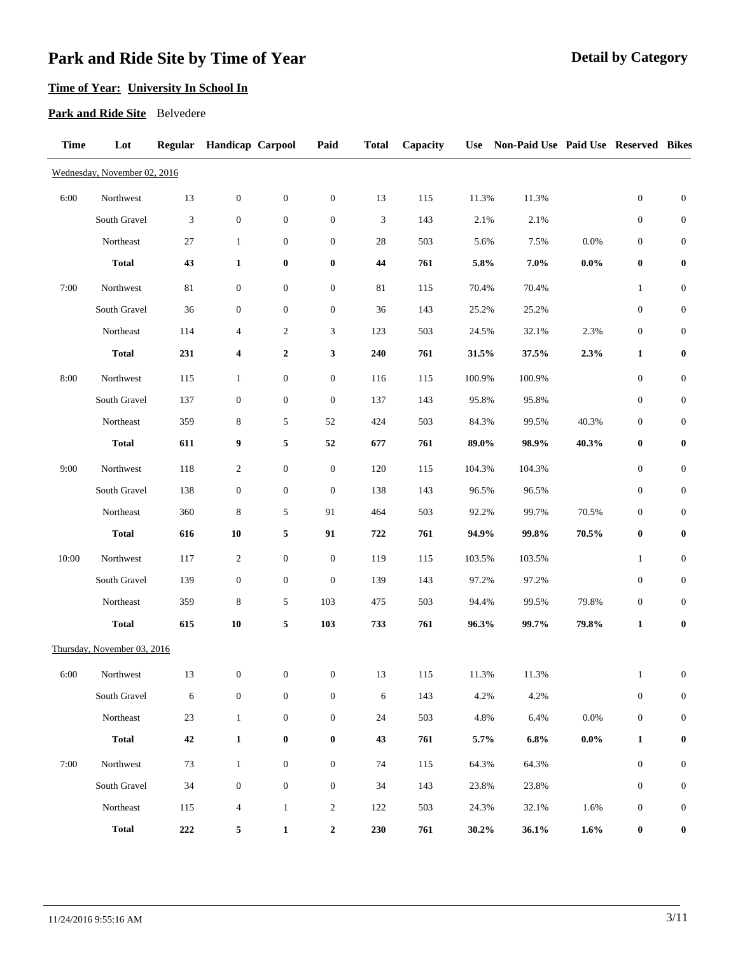# **Time of Year: University In School In**

#### **Park and Ride Site** Belvedere

| <b>Time</b> | Lot                          | <b>Regular</b> | <b>Handicap Carpool</b> |                  | Paid             | <b>Total</b> | Capacity | <b>Use</b> | Non-Paid Use Paid Use Reserved Bikes |         |                  |                  |
|-------------|------------------------------|----------------|-------------------------|------------------|------------------|--------------|----------|------------|--------------------------------------|---------|------------------|------------------|
|             | Wednesday, November 02, 2016 |                |                         |                  |                  |              |          |            |                                      |         |                  |                  |
| 6:00        | Northwest                    | 13             | $\boldsymbol{0}$        | $\mathbf{0}$     | $\boldsymbol{0}$ | 13           | 115      | 11.3%      | 11.3%                                |         | $\boldsymbol{0}$ | $\boldsymbol{0}$ |
|             | South Gravel                 | 3              | $\boldsymbol{0}$        | $\boldsymbol{0}$ | $\boldsymbol{0}$ | 3            | 143      | 2.1%       | 2.1%                                 |         | $\boldsymbol{0}$ | $\boldsymbol{0}$ |
|             | Northeast                    | $27\,$         | $\mathbf{1}$            | $\boldsymbol{0}$ | $\boldsymbol{0}$ | 28           | 503      | 5.6%       | 7.5%                                 | 0.0%    | $\boldsymbol{0}$ | $\boldsymbol{0}$ |
|             | <b>Total</b>                 | 43             | $\mathbf{1}$            | $\bf{0}$         | $\boldsymbol{0}$ | 44           | 761      | 5.8%       | 7.0%                                 | $0.0\%$ | $\bf{0}$         | $\bf{0}$         |
| 7:00        | Northwest                    | 81             | $\boldsymbol{0}$        | $\mathbf{0}$     | $\boldsymbol{0}$ | 81           | 115      | 70.4%      | 70.4%                                |         | $\mathbf{1}$     | $\boldsymbol{0}$ |
|             | South Gravel                 | 36             | $\boldsymbol{0}$        | $\boldsymbol{0}$ | $\boldsymbol{0}$ | 36           | 143      | 25.2%      | 25.2%                                |         | $\boldsymbol{0}$ | $\boldsymbol{0}$ |
|             | Northeast                    | 114            | $\overline{4}$          | $\overline{c}$   | 3                | 123          | 503      | 24.5%      | 32.1%                                | 2.3%    | $\boldsymbol{0}$ | $\boldsymbol{0}$ |
|             | <b>Total</b>                 | 231            | 4                       | $\boldsymbol{2}$ | 3                | 240          | 761      | 31.5%      | 37.5%                                | 2.3%    | $\mathbf{1}$     | $\bf{0}$         |
| 8:00        | Northwest                    | 115            | $\mathbf{1}$            | $\boldsymbol{0}$ | $\boldsymbol{0}$ | 116          | 115      | 100.9%     | 100.9%                               |         | $\boldsymbol{0}$ | $\boldsymbol{0}$ |
|             | South Gravel                 | 137            | $\boldsymbol{0}$        | $\mathbf{0}$     | $\boldsymbol{0}$ | 137          | 143      | 95.8%      | 95.8%                                |         | $\boldsymbol{0}$ | $\boldsymbol{0}$ |
|             | Northeast                    | 359            | 8                       | 5                | 52               | 424          | 503      | 84.3%      | 99.5%                                | 40.3%   | $\boldsymbol{0}$ | $\boldsymbol{0}$ |
|             | <b>Total</b>                 | 611            | 9                       | 5                | 52               | 677          | 761      | 89.0%      | 98.9%                                | 40.3%   | $\bf{0}$         | $\bf{0}$         |
| 9:00        | Northwest                    | 118            | $\overline{c}$          | $\boldsymbol{0}$ | $\boldsymbol{0}$ | 120          | 115      | 104.3%     | 104.3%                               |         | $\boldsymbol{0}$ | $\boldsymbol{0}$ |
|             | South Gravel                 | 138            | $\boldsymbol{0}$        | $\boldsymbol{0}$ | $\boldsymbol{0}$ | 138          | 143      | 96.5%      | 96.5%                                |         | $\boldsymbol{0}$ | $\boldsymbol{0}$ |
|             | Northeast                    | 360            | $\,8\,$                 | 5                | 91               | 464          | 503      | 92.2%      | 99.7%                                | 70.5%   | $\boldsymbol{0}$ | $\boldsymbol{0}$ |
|             | <b>Total</b>                 | 616            | 10                      | 5                | 91               | 722          | 761      | 94.9%      | 99.8%                                | 70.5%   | $\bf{0}$         | $\bf{0}$         |
| 10:00       | Northwest                    | 117            | $\overline{\mathbf{c}}$ | $\mathbf{0}$     | $\boldsymbol{0}$ | 119          | 115      | 103.5%     | 103.5%                               |         | $\mathbf{1}$     | $\boldsymbol{0}$ |
|             | South Gravel                 | 139            | $\boldsymbol{0}$        | $\boldsymbol{0}$ | $\boldsymbol{0}$ | 139          | 143      | 97.2%      | 97.2%                                |         | $\boldsymbol{0}$ | $\boldsymbol{0}$ |
|             | Northeast                    | 359            | 8                       | 5                | 103              | 475          | 503      | 94.4%      | 99.5%                                | 79.8%   | $\boldsymbol{0}$ | $\boldsymbol{0}$ |
|             | <b>Total</b>                 | 615            | 10                      | 5                | 103              | 733          | 761      | 96.3%      | 99.7%                                | 79.8%   | $\mathbf{1}$     | $\bf{0}$         |
|             | Thursday, November 03, 2016  |                |                         |                  |                  |              |          |            |                                      |         |                  |                  |
| 6:00        | Northwest                    | 13             | $\mathbf{0}$            | $\overline{0}$   | $\overline{0}$   | 13           | 115      | 11.3%      | 11.3%                                |         | -1               | $\mathbf{0}$     |
|             | South Gravel                 | 6              | $\boldsymbol{0}$        | $\overline{0}$   | $\boldsymbol{0}$ | 6            | 143      | 4.2%       | 4.2%                                 |         | $\boldsymbol{0}$ | $\boldsymbol{0}$ |
|             | Northeast                    | 23             | $\mathbf{1}$            | $\mathbf{0}$     | $\boldsymbol{0}$ | 24           | 503      | 4.8%       | 6.4%                                 | $0.0\%$ | $\boldsymbol{0}$ | $\boldsymbol{0}$ |
|             | <b>Total</b>                 | $\bf 42$       | $\mathbf{1}$            | $\bf{0}$         | $\pmb{0}$        | 43           | 761      | 5.7%       | 6.8%                                 | $0.0\%$ | $\mathbf{1}$     | $\pmb{0}$        |
| 7:00        | Northwest                    | 73             | $\mathbf{1}$            | $\boldsymbol{0}$ | $\boldsymbol{0}$ | 74           | 115      | 64.3%      | 64.3%                                |         | $\boldsymbol{0}$ | $\boldsymbol{0}$ |
|             | South Gravel                 | 34             | $\boldsymbol{0}$        | $\boldsymbol{0}$ | $\boldsymbol{0}$ | 34           | 143      | 23.8%      | 23.8%                                |         | $\boldsymbol{0}$ | $\boldsymbol{0}$ |
|             | Northeast                    | 115            | $\overline{4}$          | $\mathbf{1}$     | $\overline{c}$   | 122          | 503      | 24.3%      | 32.1%                                | 1.6%    | $\boldsymbol{0}$ | $\boldsymbol{0}$ |
|             | <b>Total</b>                 | $222\,$        | 5                       | $\mathbf 1$      | $\boldsymbol{2}$ | 230          | 761      | 30.2%      | 36.1%                                | $1.6\%$ | $\bf{0}$         | $\boldsymbol{0}$ |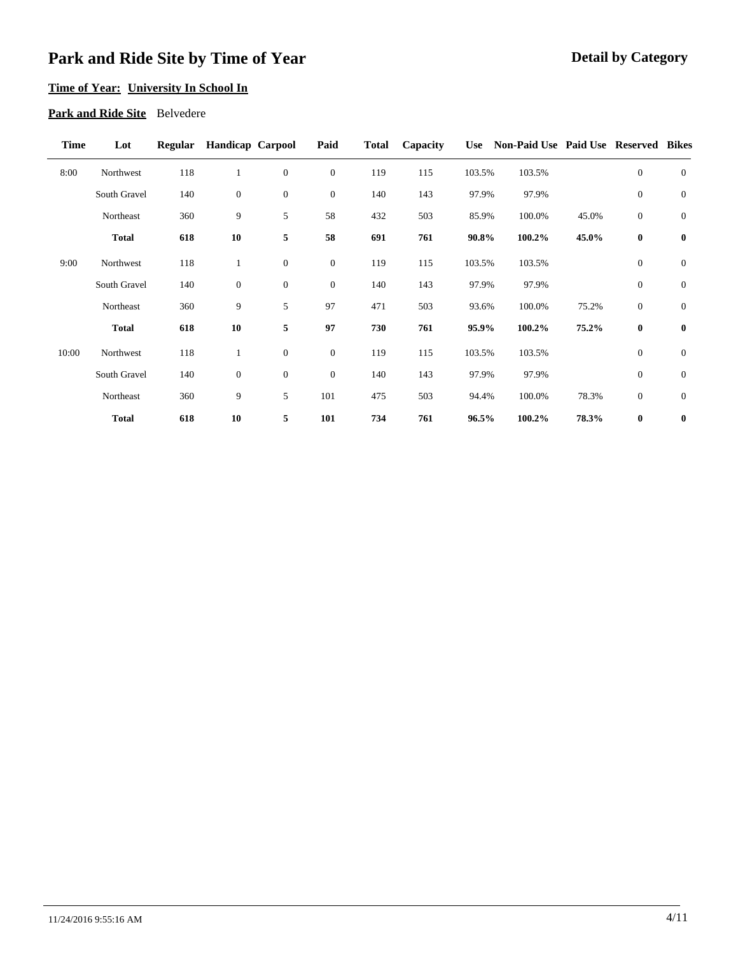## **Time of Year: University In School In**

#### **Park and Ride Site** Belvedere

| <b>Time</b> | Lot          | Regular | <b>Handicap Carpool</b> |                | Paid           | <b>Total</b> | Capacity |        | Use Non-Paid Use Paid Use Reserved Bikes |       |                |              |
|-------------|--------------|---------|-------------------------|----------------|----------------|--------------|----------|--------|------------------------------------------|-------|----------------|--------------|
| 8:00        | Northwest    | 118     | 1                       | $\mathbf{0}$   | $\mathbf{0}$   | 119          | 115      | 103.5% | 103.5%                                   |       | $\overline{0}$ | $\mathbf{0}$ |
|             | South Gravel | 140     | $\boldsymbol{0}$        | $\mathbf{0}$   | $\mathbf{0}$   | 140          | 143      | 97.9%  | 97.9%                                    |       | $\overline{0}$ | $\mathbf{0}$ |
|             | Northeast    | 360     | 9                       | 5              | 58             | 432          | 503      | 85.9%  | 100.0%                                   | 45.0% | $\mathbf{0}$   | $\mathbf{0}$ |
|             | <b>Total</b> | 618     | 10                      | 5              | 58             | 691          | 761      | 90.8%  | 100.2%                                   | 45.0% | $\bf{0}$       | $\bf{0}$     |
| 9:00        | Northwest    | 118     | $\mathbf{1}$            | $\mathbf{0}$   | $\overline{0}$ | 119          | 115      | 103.5% | 103.5%                                   |       | $\mathbf{0}$   | $\mathbf{0}$ |
|             | South Gravel | 140     | $\boldsymbol{0}$        | $\overline{0}$ | $\overline{0}$ | 140          | 143      | 97.9%  | 97.9%                                    |       | $\overline{0}$ | $\mathbf{0}$ |
|             | Northeast    | 360     | 9                       | 5              | 97             | 471          | 503      | 93.6%  | 100.0%                                   | 75.2% | $\mathbf{0}$   | $\mathbf{0}$ |
|             | <b>Total</b> | 618     | 10                      | 5              | 97             | 730          | 761      | 95.9%  | 100.2%                                   | 75.2% | $\bf{0}$       | $\bf{0}$     |
| 10:00       | Northwest    | 118     | $\mathbf{1}$            | $\mathbf{0}$   | $\mathbf{0}$   | 119          | 115      | 103.5% | 103.5%                                   |       | $\overline{0}$ | $\mathbf{0}$ |
|             | South Gravel | 140     | $\boldsymbol{0}$        | $\overline{0}$ | $\mathbf{0}$   | 140          | 143      | 97.9%  | 97.9%                                    |       | $\mathbf{0}$   | $\mathbf{0}$ |
|             | Northeast    | 360     | 9                       | 5              | 101            | 475          | 503      | 94.4%  | 100.0%                                   | 78.3% | $\overline{0}$ | $\mathbf{0}$ |
|             | <b>Total</b> | 618     | 10                      | 5              | 101            | 734          | 761      | 96.5%  | 100.2%                                   | 78.3% | $\bf{0}$       | $\bf{0}$     |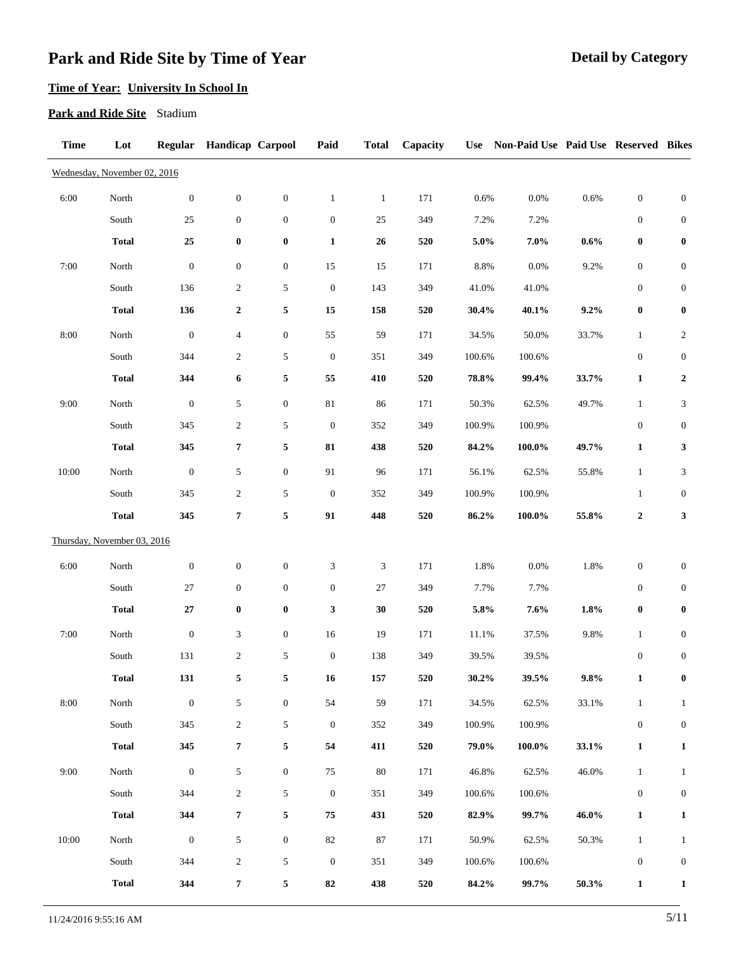# **Time of Year: University In School In**

#### **Park and Ride Site** Stadium

| <b>Time</b> | Lot                          | <b>Regular</b>   | <b>Handicap Carpool</b> |                  | Paid             | <b>Total</b> | Capacity | <b>Use</b> | Non-Paid Use Paid Use Reserved Bikes |       |                  |                             |
|-------------|------------------------------|------------------|-------------------------|------------------|------------------|--------------|----------|------------|--------------------------------------|-------|------------------|-----------------------------|
|             | Wednesday, November 02, 2016 |                  |                         |                  |                  |              |          |            |                                      |       |                  |                             |
| 6:00        | North                        | $\boldsymbol{0}$ | $\boldsymbol{0}$        | $\boldsymbol{0}$ | $\mathbf{1}$     | $\mathbf{1}$ | 171      | 0.6%       | 0.0%                                 | 0.6%  | $\boldsymbol{0}$ | $\boldsymbol{0}$            |
|             | South                        | $25\,$           | $\boldsymbol{0}$        | $\boldsymbol{0}$ | $\boldsymbol{0}$ | 25           | 349      | 7.2%       | 7.2%                                 |       | $\boldsymbol{0}$ | $\boldsymbol{0}$            |
|             | <b>Total</b>                 | $25\,$           | $\boldsymbol{0}$        | $\boldsymbol{0}$ | $\mathbf{1}$     | 26           | 520      | 5.0%       | $7.0\%$                              | 0.6%  | $\boldsymbol{0}$ | $\boldsymbol{0}$            |
| 7:00        | North                        | $\boldsymbol{0}$ | $\boldsymbol{0}$        | $\boldsymbol{0}$ | 15               | 15           | 171      | 8.8%       | 0.0%                                 | 9.2%  | $\boldsymbol{0}$ | $\boldsymbol{0}$            |
|             | South                        | 136              | $\boldsymbol{2}$        | $\sqrt{5}$       | $\boldsymbol{0}$ | 143          | 349      | 41.0%      | 41.0%                                |       | $\boldsymbol{0}$ | $\boldsymbol{0}$            |
|             | <b>Total</b>                 | 136              | $\boldsymbol{2}$        | 5                | 15               | 158          | 520      | 30.4%      | 40.1%                                | 9.2%  | $\boldsymbol{0}$ | $\pmb{0}$                   |
| 8:00        | North                        | $\boldsymbol{0}$ | $\overline{4}$          | $\boldsymbol{0}$ | 55               | 59           | 171      | 34.5%      | 50.0%                                | 33.7% | $\mathbf{1}$     | $\sqrt{2}$                  |
|             | South                        | 344              | $\overline{c}$          | $\sqrt{5}$       | $\boldsymbol{0}$ | 351          | 349      | 100.6%     | 100.6%                               |       | $\boldsymbol{0}$ | $\boldsymbol{0}$            |
|             | <b>Total</b>                 | 344              | 6                       | 5                | 55               | 410          | 520      | 78.8%      | 99.4%                                | 33.7% | $\mathbf{1}$     | $\boldsymbol{2}$            |
| 9:00        | North                        | $\boldsymbol{0}$ | $\sqrt{5}$              | $\boldsymbol{0}$ | $81\,$           | 86           | 171      | 50.3%      | 62.5%                                | 49.7% | $\mathbf{1}$     | $\ensuremath{\mathfrak{Z}}$ |
|             | South                        | 345              | $\boldsymbol{2}$        | $\sqrt{5}$       | $\boldsymbol{0}$ | 352          | 349      | 100.9%     | 100.9%                               |       | $\boldsymbol{0}$ | $\boldsymbol{0}$            |
|             | <b>Total</b>                 | 345              | $\overline{7}$          | 5                | 81               | 438          | 520      | 84.2%      | 100.0%                               | 49.7% | $\mathbf{1}$     | $\mathbf{3}$                |
| 10:00       | North                        | $\boldsymbol{0}$ | $\sqrt{5}$              | $\boldsymbol{0}$ | 91               | 96           | 171      | 56.1%      | 62.5%                                | 55.8% | $\mathbf{1}$     | 3                           |
|             | South                        | 345              | $\sqrt{2}$              | $\sqrt{5}$       | $\boldsymbol{0}$ | 352          | 349      | 100.9%     | 100.9%                               |       | $\mathbf{1}$     | $\boldsymbol{0}$            |
|             | <b>Total</b>                 | 345              | $\pmb{7}$               | $\sqrt{5}$       | 91               | 448          | 520      | 86.2%      | $100.0\%$                            | 55.8% | $\boldsymbol{2}$ | $\mathbf{3}$                |
|             | Thursday, November 03, 2016  |                  |                         |                  |                  |              |          |            |                                      |       |                  |                             |
| 6:00        | North                        | $\boldsymbol{0}$ | $\mathbf{0}$            | $\boldsymbol{0}$ | 3                | 3            | 171      | 1.8%       | 0.0%                                 | 1.8%  | $\boldsymbol{0}$ | $\boldsymbol{0}$            |
|             | South                        | 27               | $\mathbf{0}$            | $\boldsymbol{0}$ | $\boldsymbol{0}$ | $27\,$       | 349      | 7.7%       | 7.7%                                 |       | $\boldsymbol{0}$ | $\boldsymbol{0}$            |
|             | <b>Total</b>                 | $\bf 27$         | $\pmb{0}$               | $\boldsymbol{0}$ | 3                | $30\,$       | 520      | 5.8%       | 7.6%                                 | 1.8%  | $\pmb{0}$        | $\pmb{0}$                   |
| 7:00        | North                        | $\boldsymbol{0}$ | $\mathfrak{Z}$          | $\boldsymbol{0}$ | 16               | 19           | 171      | 11.1%      | 37.5%                                | 9.8%  | $\mathbf{1}$     | $\boldsymbol{0}$            |
|             | South                        | 131              | $\sqrt{2}$              | 5                | $\boldsymbol{0}$ | 138          | 349      | 39.5%      | 39.5%                                |       | $\boldsymbol{0}$ | $\boldsymbol{0}$            |
|             | <b>Total</b>                 | 131              | 5                       | $\sqrt{5}$       | 16               | 157          | 520      | $30.2\%$   | 39.5%                                | 9.8%  | $\mathbf{1}$     | $\bf{0}$                    |
| 8:00        | North                        | $\boldsymbol{0}$ | $\mathfrak{S}$          | $\boldsymbol{0}$ | 54               | 59           | 171      | 34.5%      | 62.5%                                | 33.1% | $\mathbf{1}$     | $\mathbf{1}$                |
|             | South                        | 345              | $\boldsymbol{2}$        | $\sqrt{5}$       | $\boldsymbol{0}$ | 352          | 349      | 100.9%     | 100.9%                               |       | $\boldsymbol{0}$ | $\boldsymbol{0}$            |
|             | <b>Total</b>                 | 345              | $\overline{7}$          | 5                | 54               | 411          | 520      | 79.0%      | $100.0\%$                            | 33.1% | $\mathbf{1}$     | $\mathbf{1}$                |
| 9:00        | North                        | $\boldsymbol{0}$ | $\sqrt{5}$              | $\boldsymbol{0}$ | 75               | $80\,$       | 171      | 46.8%      | 62.5%                                | 46.0% | $\mathbf{1}$     | $\mathbf{1}$                |
|             | South                        | 344              | $\boldsymbol{2}$        | $\sqrt{5}$       | $\boldsymbol{0}$ | 351          | 349      | 100.6%     | 100.6%                               |       | $\boldsymbol{0}$ | $\boldsymbol{0}$            |
|             | <b>Total</b>                 | 344              | $\pmb{7}$               | 5                | ${\bf 75}$       | 431          | 520      | 82.9%      | 99.7%                                | 46.0% | $\mathbf{1}$     | $\mathbf{1}$                |
| 10:00       | North                        | $\mathbf{0}$     | 5                       | $\boldsymbol{0}$ | $82\,$           | 87           | 171      | 50.9%      | 62.5%                                | 50.3% | $\mathbf{1}$     | $\mathbf{1}$                |
|             | South                        | 344              | $\boldsymbol{2}$        | $\sqrt{5}$       | $\boldsymbol{0}$ | 351          | 349      | 100.6%     | 100.6%                               |       | $\boldsymbol{0}$ | $\boldsymbol{0}$            |
|             | <b>Total</b>                 | 344              | 7                       | 5                | 82               | 438          | 520      | 84.2%      | 99.7%                                | 50.3% | $\mathbf{1}$     | $\mathbf{1}$                |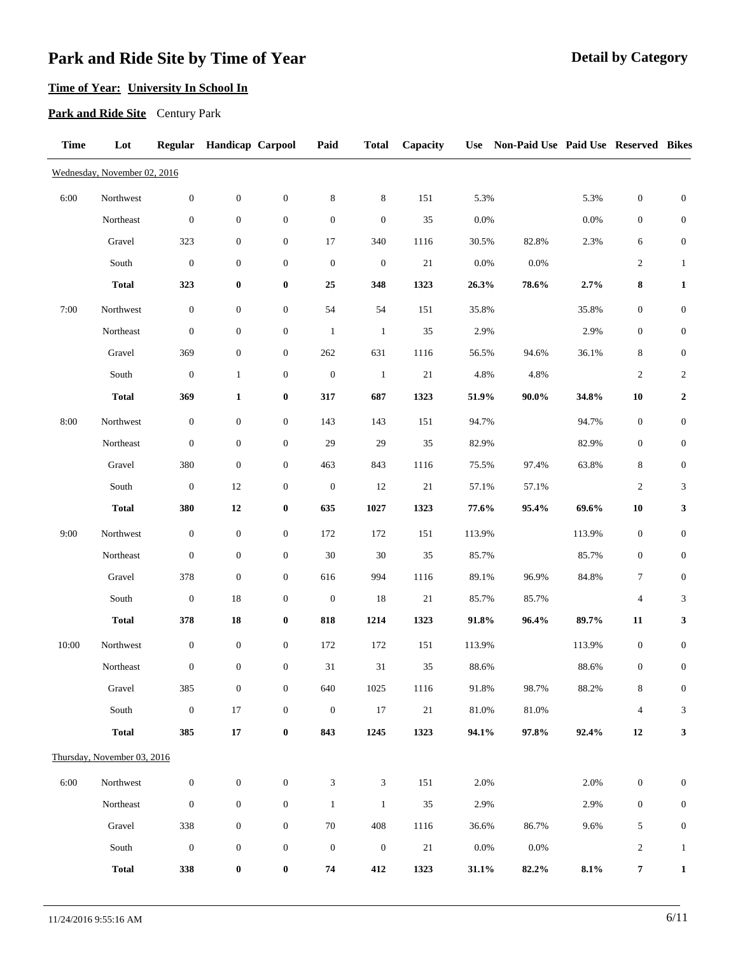# **Time of Year: University In School In**

### **Park and Ride Site** Century Park

| <b>Time</b> | Lot                          |                  | Regular Handicap Carpool |                  | Paid             | <b>Total</b>                | Capacity | <b>Use</b> | Non-Paid Use Paid Use Reserved Bikes |         |                          |                             |
|-------------|------------------------------|------------------|--------------------------|------------------|------------------|-----------------------------|----------|------------|--------------------------------------|---------|--------------------------|-----------------------------|
|             | Wednesday, November 02, 2016 |                  |                          |                  |                  |                             |          |            |                                      |         |                          |                             |
| 6:00        | Northwest                    | $\boldsymbol{0}$ | $\boldsymbol{0}$         | $\boldsymbol{0}$ | $\,8\,$          | $\,8\,$                     | 151      | 5.3%       |                                      | 5.3%    | $\boldsymbol{0}$         | $\boldsymbol{0}$            |
|             | Northeast                    | $\boldsymbol{0}$ | $\boldsymbol{0}$         | $\boldsymbol{0}$ | $\boldsymbol{0}$ | $\boldsymbol{0}$            | 35       | $0.0\%$    |                                      | $0.0\%$ | $\boldsymbol{0}$         | $\boldsymbol{0}$            |
|             | Gravel                       | 323              | $\boldsymbol{0}$         | $\boldsymbol{0}$ | $17\,$           | 340                         | 1116     | 30.5%      | 82.8%                                | 2.3%    | 6                        | $\boldsymbol{0}$            |
|             | South                        | $\boldsymbol{0}$ | $\boldsymbol{0}$         | $\boldsymbol{0}$ | $\boldsymbol{0}$ | $\boldsymbol{0}$            | $21\,$   | $0.0\%$    | 0.0%                                 |         | $\overline{c}$           | $\mathbf{1}$                |
|             | <b>Total</b>                 | 323              | $\boldsymbol{0}$         | $\boldsymbol{0}$ | 25               | 348                         | 1323     | 26.3%      | $78.6\%$                             | 2.7%    | 8                        | $\mathbf 1$                 |
| 7:00        | Northwest                    | $\boldsymbol{0}$ | $\boldsymbol{0}$         | $\boldsymbol{0}$ | 54               | 54                          | 151      | 35.8%      |                                      | 35.8%   | $\boldsymbol{0}$         | $\boldsymbol{0}$            |
|             | Northeast                    | $\boldsymbol{0}$ | $\boldsymbol{0}$         | $\boldsymbol{0}$ | $\mathbf{1}$     | $\mathbf{1}$                | 35       | 2.9%       |                                      | 2.9%    | $\boldsymbol{0}$         | $\boldsymbol{0}$            |
|             | Gravel                       | 369              | $\boldsymbol{0}$         | $\boldsymbol{0}$ | 262              | 631                         | 1116     | 56.5%      | 94.6%                                | 36.1%   | 8                        | $\boldsymbol{0}$            |
|             | South                        | $\boldsymbol{0}$ | $\mathbf{1}$             | $\boldsymbol{0}$ | $\boldsymbol{0}$ | $\mathbf{1}$                | $21\,$   | 4.8%       | 4.8%                                 |         | $\sqrt{2}$               | $\sqrt{2}$                  |
|             | <b>Total</b>                 | 369              | $\mathbf{1}$             | $\boldsymbol{0}$ | 317              | 687                         | 1323     | 51.9%      | $90.0\%$                             | 34.8%   | 10                       | $\boldsymbol{2}$            |
| 8:00        | Northwest                    | $\boldsymbol{0}$ | $\boldsymbol{0}$         | $\boldsymbol{0}$ | 143              | 143                         | 151      | 94.7%      |                                      | 94.7%   | $\boldsymbol{0}$         | $\boldsymbol{0}$            |
|             | Northeast                    | $\boldsymbol{0}$ | $\boldsymbol{0}$         | $\boldsymbol{0}$ | 29               | 29                          | 35       | 82.9%      |                                      | 82.9%   | $\boldsymbol{0}$         | $\boldsymbol{0}$            |
|             | Gravel                       | 380              | $\boldsymbol{0}$         | $\boldsymbol{0}$ | 463              | 843                         | 1116     | 75.5%      | 97.4%                                | 63.8%   | 8                        | $\boldsymbol{0}$            |
|             | South                        | $\boldsymbol{0}$ | 12                       | $\boldsymbol{0}$ | $\boldsymbol{0}$ | 12                          | $21\,$   | 57.1%      | 57.1%                                |         | $\overline{c}$           | $\ensuremath{\mathfrak{Z}}$ |
|             | <b>Total</b>                 | 380              | $\bf 12$                 | $\boldsymbol{0}$ | 635              | 1027                        | 1323     | 77.6%      | 95.4%                                | 69.6%   | ${\bf 10}$               | $\mathbf{3}$                |
| 9:00        | Northwest                    | $\boldsymbol{0}$ | $\boldsymbol{0}$         | $\boldsymbol{0}$ | 172              | 172                         | 151      | 113.9%     |                                      | 113.9%  | $\boldsymbol{0}$         | $\boldsymbol{0}$            |
|             | Northeast                    | $\boldsymbol{0}$ | $\boldsymbol{0}$         | $\boldsymbol{0}$ | $30\,$           | $30\,$                      | 35       | 85.7%      |                                      | 85.7%   | $\boldsymbol{0}$         | $\boldsymbol{0}$            |
|             | Gravel                       | 378              | $\boldsymbol{0}$         | $\boldsymbol{0}$ | 616              | 994                         | 1116     | 89.1%      | 96.9%                                | 84.8%   | 7                        | $\boldsymbol{0}$            |
|             | South                        | $\boldsymbol{0}$ | $18\,$                   | $\boldsymbol{0}$ | $\boldsymbol{0}$ | 18                          | $21\,$   | 85.7%      | 85.7%                                |         | $\overline{\mathcal{A}}$ | 3                           |
|             | <b>Total</b>                 | 378              | ${\bf 18}$               | $\boldsymbol{0}$ | 818              | 1214                        | 1323     | 91.8%      | 96.4%                                | 89.7%   | 11                       | 3                           |
| 10:00       | Northwest                    | $\boldsymbol{0}$ | $\boldsymbol{0}$         | $\boldsymbol{0}$ | 172              | 172                         | 151      | 113.9%     |                                      | 113.9%  | $\boldsymbol{0}$         | $\boldsymbol{0}$            |
|             | Northeast                    | $\boldsymbol{0}$ | $\boldsymbol{0}$         | $\boldsymbol{0}$ | $31\,$           | $31\,$                      | 35       | 88.6%      |                                      | 88.6%   | $\boldsymbol{0}$         | $\boldsymbol{0}$            |
|             | Gravel                       | 385              | $\boldsymbol{0}$         | $\boldsymbol{0}$ | 640              | 1025                        | 1116     | 91.8%      | 98.7%                                | 88.2%   | 8                        | $\boldsymbol{0}$            |
|             | South                        | $\boldsymbol{0}$ | $17\,$                   | $\boldsymbol{0}$ | $\mathbf{0}$     | 17                          | 21       | 81.0%      | 81.0%                                |         | $\overline{4}$           | 3                           |
|             | <b>Total</b>                 | 385              | 17                       | $\boldsymbol{0}$ | 843              | 1245                        | 1323     | 94.1%      | 97.8%                                | 92.4%   | 12                       | 3                           |
|             | Thursday, November 03, 2016  |                  |                          |                  |                  |                             |          |            |                                      |         |                          |                             |
| 6:00        | Northwest                    | $\boldsymbol{0}$ | $\boldsymbol{0}$         | $\boldsymbol{0}$ | $\mathfrak{Z}$   | $\ensuremath{\mathfrak{Z}}$ | 151      | 2.0%       |                                      | 2.0%    | $\boldsymbol{0}$         | $\boldsymbol{0}$            |
|             | Northeast                    | $\boldsymbol{0}$ | $\boldsymbol{0}$         | $\boldsymbol{0}$ | $\mathbf{1}$     | $\mathbf{1}$                | 35       | 2.9%       |                                      | 2.9%    | $\boldsymbol{0}$         | $\boldsymbol{0}$            |
|             | Gravel                       | 338              | $\boldsymbol{0}$         | $\boldsymbol{0}$ | $70\,$           | 408                         | 1116     | 36.6%      | 86.7%                                | 9.6%    | 5                        | $\boldsymbol{0}$            |
|             | South                        | $\boldsymbol{0}$ | $\boldsymbol{0}$         | $\boldsymbol{0}$ | $\boldsymbol{0}$ | $\boldsymbol{0}$            | 21       | $0.0\%$    | 0.0%                                 |         | $\mathbf{2}$             | $\mathbf{1}$                |
|             | <b>Total</b>                 | 338              | $\boldsymbol{0}$         | $\boldsymbol{0}$ | 74               | 412                         | 1323     | 31.1%      | 82.2%                                | 8.1%    | 7                        | $\mathbf{1}$                |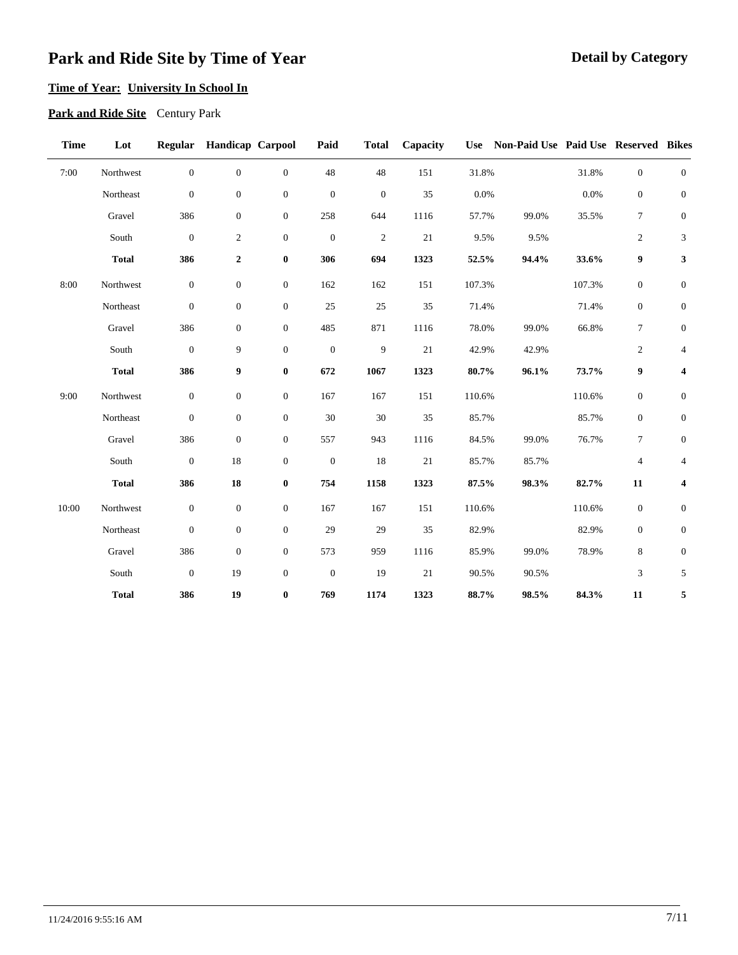### **Time of Year: University In School In**

**Park and Ride Site** Century Park

| <b>Time</b> | Lot          | Regular          | <b>Handicap Carpool</b> |                  | Paid             | <b>Total</b>     | Capacity | <b>Use</b> | Non-Paid Use Paid Use Reserved Bikes |        |                  |                         |
|-------------|--------------|------------------|-------------------------|------------------|------------------|------------------|----------|------------|--------------------------------------|--------|------------------|-------------------------|
| 7:00        | Northwest    | $\boldsymbol{0}$ | $\boldsymbol{0}$        | $\boldsymbol{0}$ | 48               | 48               | 151      | 31.8%      |                                      | 31.8%  | $\boldsymbol{0}$ | $\boldsymbol{0}$        |
|             | Northeast    | $\boldsymbol{0}$ | $\boldsymbol{0}$        | $\mathbf{0}$     | $\boldsymbol{0}$ | $\boldsymbol{0}$ | 35       | 0.0%       |                                      | 0.0%   | $\boldsymbol{0}$ | $\mathbf{0}$            |
|             | Gravel       | 386              | $\boldsymbol{0}$        | $\mathbf{0}$     | 258              | 644              | 1116     | 57.7%      | 99.0%                                | 35.5%  | $\tau$           | $\boldsymbol{0}$        |
|             | South        | $\boldsymbol{0}$ | $\boldsymbol{2}$        | $\boldsymbol{0}$ | $\boldsymbol{0}$ | $\mathbf{2}$     | $21\,$   | 9.5%       | 9.5%                                 |        | $\mathfrak{2}$   | $\mathfrak{Z}$          |
|             | <b>Total</b> | 386              | $\boldsymbol{2}$        | $\bf{0}$         | 306              | 694              | 1323     | 52.5%      | 94.4%                                | 33.6%  | 9                | $\mathbf{3}$            |
| 8:00        | Northwest    | $\boldsymbol{0}$ | $\boldsymbol{0}$        | $\boldsymbol{0}$ | 162              | 162              | 151      | 107.3%     |                                      | 107.3% | $\boldsymbol{0}$ | $\boldsymbol{0}$        |
|             | Northeast    | $\boldsymbol{0}$ | $\boldsymbol{0}$        | $\mathbf{0}$     | $25\,$           | $25\,$           | 35       | 71.4%      |                                      | 71.4%  | $\boldsymbol{0}$ | $\boldsymbol{0}$        |
|             | Gravel       | 386              | $\boldsymbol{0}$        | $\overline{0}$   | 485              | 871              | 1116     | 78.0%      | 99.0%                                | 66.8%  | $\tau$           | $\boldsymbol{0}$        |
|             | South        | $\boldsymbol{0}$ | 9                       | $\mathbf{0}$     | $\boldsymbol{0}$ | 9                | $21\,$   | 42.9%      | 42.9%                                |        | $\mathfrak{2}$   | $\overline{4}$          |
|             | <b>Total</b> | 386              | 9                       | $\bf{0}$         | 672              | 1067             | 1323     | 80.7%      | 96.1%                                | 73.7%  | 9                | $\boldsymbol{4}$        |
| 9:00        | Northwest    | $\boldsymbol{0}$ | $\boldsymbol{0}$        | $\boldsymbol{0}$ | 167              | 167              | 151      | 110.6%     |                                      | 110.6% | $\boldsymbol{0}$ | $\mathbf{0}$            |
|             | Northeast    | $\boldsymbol{0}$ | $\boldsymbol{0}$        | $\mathbf{0}$     | 30               | 30               | 35       | 85.7%      |                                      | 85.7%  | $\mathbf{0}$     | $\mathbf{0}$            |
|             | Gravel       | 386              | $\boldsymbol{0}$        | $\mathbf{0}$     | 557              | 943              | 1116     | 84.5%      | 99.0%                                | 76.7%  | $\tau$           | $\boldsymbol{0}$        |
|             | South        | $\boldsymbol{0}$ | $18\,$                  | $\mathbf{0}$     | $\boldsymbol{0}$ | 18               | $21\,$   | 85.7%      | 85.7%                                |        | $\overline{4}$   | $\overline{4}$          |
|             | <b>Total</b> | 386              | 18                      | $\bf{0}$         | 754              | 1158             | 1323     | 87.5%      | 98.3%                                | 82.7%  | 11               | $\overline{\mathbf{4}}$ |
| 10:00       | Northwest    | $\boldsymbol{0}$ | $\boldsymbol{0}$        | $\boldsymbol{0}$ | 167              | 167              | 151      | 110.6%     |                                      | 110.6% | $\boldsymbol{0}$ | $\boldsymbol{0}$        |
|             | Northeast    | $\boldsymbol{0}$ | $\boldsymbol{0}$        | $\boldsymbol{0}$ | 29               | 29               | $35\,$   | 82.9%      |                                      | 82.9%  | $\boldsymbol{0}$ | $\boldsymbol{0}$        |
|             | Gravel       | 386              | $\boldsymbol{0}$        | $\mathbf{0}$     | 573              | 959              | 1116     | 85.9%      | 99.0%                                | 78.9%  | 8                | $\boldsymbol{0}$        |
|             | South        | $\mathbf{0}$     | 19                      | $\overline{0}$   | $\boldsymbol{0}$ | 19               | 21       | 90.5%      | 90.5%                                |        | 3                | 5                       |
|             | <b>Total</b> | 386              | 19                      | $\bf{0}$         | 769              | 1174             | 1323     | 88.7%      | 98.5%                                | 84.3%  | 11               | 5                       |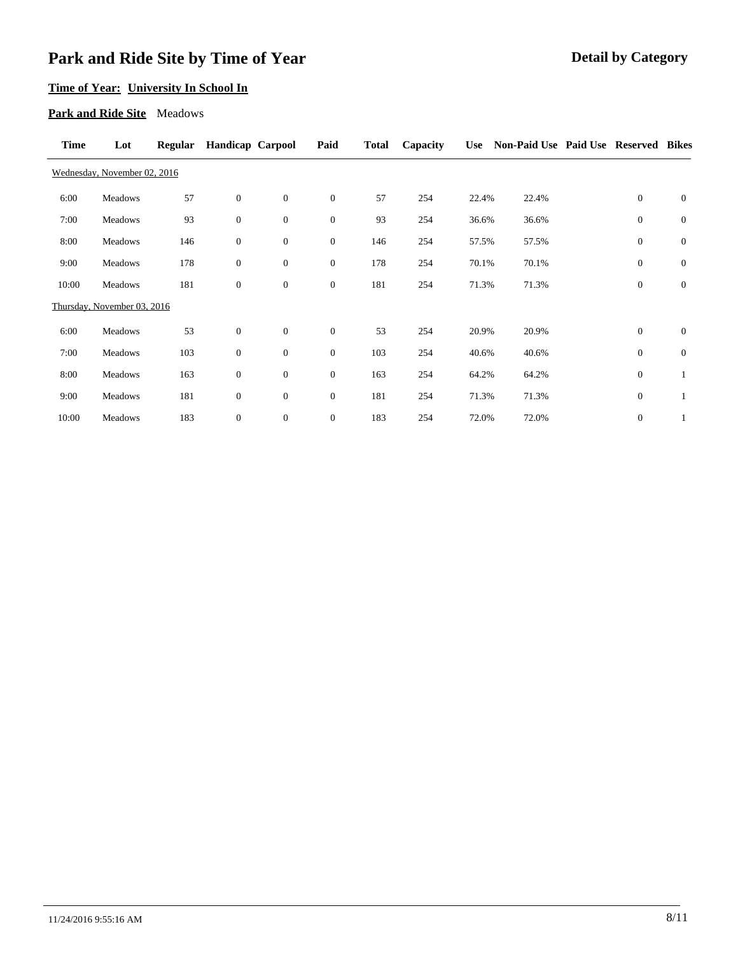## **Time of Year: University In School In**

#### **Park and Ride Site** Meadows

| Time  | Lot                          | <b>Regular</b> | <b>Handicap Carpool</b> |                | Paid             | <b>Total</b> | Capacity | <b>Use</b> | Non-Paid Use Paid Use Reserved Bikes |                  |              |
|-------|------------------------------|----------------|-------------------------|----------------|------------------|--------------|----------|------------|--------------------------------------|------------------|--------------|
|       | Wednesday, November 02, 2016 |                |                         |                |                  |              |          |            |                                      |                  |              |
| 6:00  | Meadows                      | 57             | $\boldsymbol{0}$        | $\overline{0}$ | $\boldsymbol{0}$ | 57           | 254      | 22.4%      | 22.4%                                | $\mathbf{0}$     | $\mathbf{0}$ |
| 7:00  | Meadows                      | 93             | $\boldsymbol{0}$        | $\mathbf{0}$   | $\mathbf{0}$     | 93           | 254      | 36.6%      | 36.6%                                | $\mathbf{0}$     | $\mathbf{0}$ |
| 8:00  | Meadows                      | 146            | $\boldsymbol{0}$        | $\mathbf{0}$   | $\boldsymbol{0}$ | 146          | 254      | 57.5%      | 57.5%                                | $\mathbf{0}$     | $\mathbf{0}$ |
| 9:00  | Meadows                      | 178            | $\boldsymbol{0}$        | $\mathbf{0}$   | $\boldsymbol{0}$ | 178          | 254      | 70.1%      | 70.1%                                | $\boldsymbol{0}$ | $\mathbf{0}$ |
| 10:00 | Meadows                      | 181            | $\mathbf{0}$            | $\mathbf{0}$   | $\mathbf{0}$     | 181          | 254      | 71.3%      | 71.3%                                | $\boldsymbol{0}$ | $\mathbf{0}$ |
|       | Thursday, November 03, 2016  |                |                         |                |                  |              |          |            |                                      |                  |              |
| 6:00  | Meadows                      | 53             | $\mathbf{0}$            | $\overline{0}$ | $\boldsymbol{0}$ | 53           | 254      | 20.9%      | 20.9%                                | $\mathbf{0}$     | $\mathbf{0}$ |
| 7:00  | Meadows                      | 103            | $\boldsymbol{0}$        | $\overline{0}$ | $\boldsymbol{0}$ | 103          | 254      | 40.6%      | 40.6%                                | $\mathbf{0}$     | $\mathbf{0}$ |
| 8:00  | Meadows                      | 163            | $\boldsymbol{0}$        | $\mathbf{0}$   | $\mathbf{0}$     | 163          | 254      | 64.2%      | 64.2%                                | $\boldsymbol{0}$ | $\mathbf{1}$ |
| 9:00  | Meadows                      | 181            | $\mathbf{0}$            | $\mathbf{0}$   | $\mathbf{0}$     | 181          | 254      | 71.3%      | 71.3%                                | $\mathbf{0}$     | 1            |
| 10:00 | Meadows                      | 183            | $\boldsymbol{0}$        | $\mathbf{0}$   | $\mathbf{0}$     | 183          | 254      | 72.0%      | 72.0%                                | $\boldsymbol{0}$ | 1            |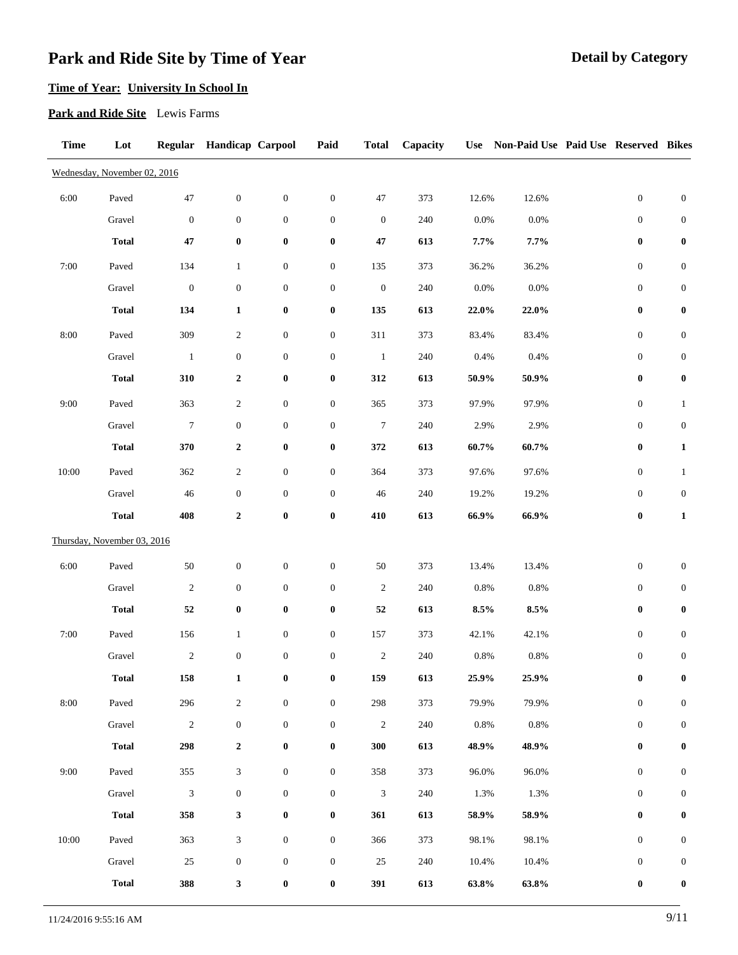# **Time of Year: University In School In**

**Park and Ride Site** Lewis Farms

| <b>Time</b> | Lot                          |                  | Regular Handicap Carpool |                  | Paid             | <b>Total</b>     | Capacity |          | Use Non-Paid Use Paid Use Reserved Bikes |                  |                  |
|-------------|------------------------------|------------------|--------------------------|------------------|------------------|------------------|----------|----------|------------------------------------------|------------------|------------------|
|             | Wednesday, November 02, 2016 |                  |                          |                  |                  |                  |          |          |                                          |                  |                  |
| 6:00        | Paved                        | 47               | $\boldsymbol{0}$         | $\boldsymbol{0}$ | $\boldsymbol{0}$ | 47               | 373      | 12.6%    | 12.6%                                    | $\boldsymbol{0}$ | $\boldsymbol{0}$ |
|             | Gravel                       | $\boldsymbol{0}$ | $\boldsymbol{0}$         | $\boldsymbol{0}$ | $\boldsymbol{0}$ | $\boldsymbol{0}$ | 240      | $0.0\%$  | 0.0%                                     | $\mathbf{0}$     | $\boldsymbol{0}$ |
|             | <b>Total</b>                 | 47               | $\pmb{0}$                | $\pmb{0}$        | $\pmb{0}$        | $\bf 47$         | 613      | $7.7\%$  | $7.7\%$                                  | $\boldsymbol{0}$ | $\pmb{0}$        |
| 7:00        | Paved                        | 134              | $\mathbf{1}$             | $\boldsymbol{0}$ | $\boldsymbol{0}$ | 135              | 373      | 36.2%    | 36.2%                                    | $\boldsymbol{0}$ | $\boldsymbol{0}$ |
|             | Gravel                       | $\boldsymbol{0}$ | $\boldsymbol{0}$         | $\boldsymbol{0}$ | $\boldsymbol{0}$ | $\boldsymbol{0}$ | $240\,$  | $0.0\%$  | 0.0%                                     | $\boldsymbol{0}$ | $\boldsymbol{0}$ |
|             | <b>Total</b>                 | 134              | $\mathbf{1}$             | $\pmb{0}$        | $\bf{0}$         | 135              | 613      | 22.0%    | 22.0%                                    | $\boldsymbol{0}$ | $\pmb{0}$        |
| 8:00        | Paved                        | 309              | $\boldsymbol{2}$         | $\boldsymbol{0}$ | $\boldsymbol{0}$ | 311              | 373      | 83.4%    | 83.4%                                    | $\boldsymbol{0}$ | $\boldsymbol{0}$ |
|             | Gravel                       | $\mathbf{1}$     | $\boldsymbol{0}$         | $\boldsymbol{0}$ | $\boldsymbol{0}$ | $\mathbf{1}$     | $240\,$  | 0.4%     | 0.4%                                     | $\boldsymbol{0}$ | $\boldsymbol{0}$ |
|             | <b>Total</b>                 | 310              | $\boldsymbol{2}$         | $\pmb{0}$        | $\boldsymbol{0}$ | 312              | 613      | $50.9\%$ | $50.9\%$                                 | $\bf{0}$         | $\pmb{0}$        |
| 9:00        | Paved                        | 363              | $\overline{c}$           | $\boldsymbol{0}$ | $\boldsymbol{0}$ | 365              | 373      | 97.9%    | 97.9%                                    | $\boldsymbol{0}$ | $\mathbf{1}$     |
|             | Gravel                       | $\overline{7}$   | $\boldsymbol{0}$         | $\boldsymbol{0}$ | $\boldsymbol{0}$ | $\overline{7}$   | $240\,$  | 2.9%     | 2.9%                                     | $\boldsymbol{0}$ | $\boldsymbol{0}$ |
|             | <b>Total</b>                 | 370              | $\boldsymbol{2}$         | $\pmb{0}$        | $\bf{0}$         | 372              | 613      | $60.7\%$ | $60.7\%$                                 | $\pmb{0}$        | $\mathbf{1}$     |
| 10:00       | Paved                        | 362              | $\boldsymbol{2}$         | $\boldsymbol{0}$ | $\boldsymbol{0}$ | 364              | 373      | 97.6%    | 97.6%                                    | $\boldsymbol{0}$ | $\mathbf{1}$     |
|             | Gravel                       | 46               | $\boldsymbol{0}$         | $\boldsymbol{0}$ | $\boldsymbol{0}$ | 46               | 240      | 19.2%    | 19.2%                                    | $\boldsymbol{0}$ | $\boldsymbol{0}$ |
|             | <b>Total</b>                 | 408              | $\boldsymbol{2}$         | $\pmb{0}$        | $\bf{0}$         | 410              | 613      | 66.9%    | 66.9%                                    | $\pmb{0}$        | $\mathbf{1}$     |
|             | Thursday, November 03, 2016  |                  |                          |                  |                  |                  |          |          |                                          |                  |                  |
| 6:00        | Paved                        | $50\,$           | $\boldsymbol{0}$         | $\boldsymbol{0}$ | $\boldsymbol{0}$ | $50\,$           | 373      | 13.4%    | 13.4%                                    | $\boldsymbol{0}$ | $\boldsymbol{0}$ |
|             | Gravel                       | $\sqrt{2}$       | $\boldsymbol{0}$         | $\boldsymbol{0}$ | $\boldsymbol{0}$ | $\boldsymbol{2}$ | 240      | $0.8\%$  | 0.8%                                     | $\boldsymbol{0}$ | $\boldsymbol{0}$ |
|             | <b>Total</b>                 | 52               | $\pmb{0}$                | $\pmb{0}$        | $\boldsymbol{0}$ | 52               | 613      | 8.5%     | 8.5%                                     | 0                | $\pmb{0}$        |
| 7:00        | Paved                        | 156              | $\mathbf{1}$             | $\boldsymbol{0}$ | $\boldsymbol{0}$ | 157              | 373      | 42.1%    | 42.1%                                    | $\boldsymbol{0}$ | $\boldsymbol{0}$ |
|             | Gravel                       | $\sqrt{2}$       | $\boldsymbol{0}$         | $\boldsymbol{0}$ | $\boldsymbol{0}$ | 2                | $240\,$  | $0.8\%$  | 0.8%                                     | $\boldsymbol{0}$ | $\boldsymbol{0}$ |
|             | <b>Total</b>                 | 158              | $\mathbf{1}$             | $\pmb{0}$        | $\boldsymbol{0}$ | 159              | 613      | 25.9%    | 25.9%                                    | $\bf{0}$         | $\bf{0}$         |
| 8:00        | Paved                        | 296              | $\sqrt{2}$               | $\boldsymbol{0}$ | $\boldsymbol{0}$ | $298\,$          | 373      | 79.9%    | 79.9%                                    | $\boldsymbol{0}$ | $\boldsymbol{0}$ |
|             | Gravel                       | $\sqrt{2}$       | $\mathbf{0}$             | $\boldsymbol{0}$ | $\boldsymbol{0}$ | $\sqrt{2}$       | 240      | 0.8%     | 0.8%                                     | $\boldsymbol{0}$ | $\boldsymbol{0}$ |
|             | <b>Total</b>                 | 298              | $\boldsymbol{2}$         | $\boldsymbol{0}$ | $\boldsymbol{0}$ | 300              | 613      | 48.9%    | 48.9%                                    | $\boldsymbol{0}$ | $\pmb{0}$        |
| 9:00        | Paved                        | 355              | 3                        | $\boldsymbol{0}$ | $\boldsymbol{0}$ | 358              | 373      | 96.0%    | 96.0%                                    | $\boldsymbol{0}$ | $\boldsymbol{0}$ |
|             | Gravel                       | $\mathfrak{Z}$   | $\boldsymbol{0}$         | $\boldsymbol{0}$ | $\boldsymbol{0}$ | $\mathfrak{Z}$   | 240      | 1.3%     | 1.3%                                     | $\boldsymbol{0}$ | $\boldsymbol{0}$ |
|             | <b>Total</b>                 | 358              | $\mathbf{3}$             | $\pmb{0}$        | $\bf{0}$         | 361              | 613      | 58.9%    | 58.9%                                    | $\boldsymbol{0}$ | $\boldsymbol{0}$ |
| 10:00       | Paved                        | 363              | 3                        | $\boldsymbol{0}$ | $\boldsymbol{0}$ | 366              | 373      | 98.1%    | 98.1%                                    | $\boldsymbol{0}$ | $\boldsymbol{0}$ |
|             | Gravel                       | 25               | $\boldsymbol{0}$         | $\boldsymbol{0}$ | $\boldsymbol{0}$ | 25               | 240      | 10.4%    | 10.4%                                    | $\boldsymbol{0}$ | $\boldsymbol{0}$ |
|             | <b>Total</b>                 | 388              | 3                        | $\boldsymbol{0}$ | $\boldsymbol{0}$ | 391              | 613      | 63.8%    | 63.8%                                    | $\boldsymbol{0}$ | $\boldsymbol{0}$ |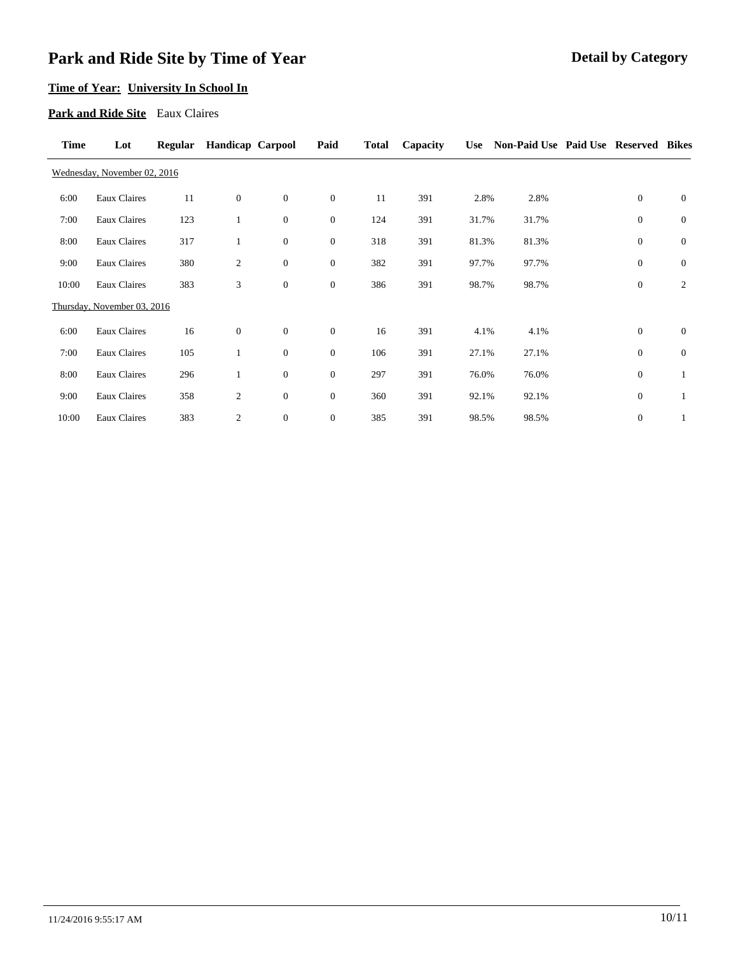# **Time of Year: University In School In**

### **Park and Ride Site** Eaux Claires

| <b>Time</b> | Lot                          | <b>Regular</b> | <b>Handicap Carpool</b> |                | Paid             | <b>Total</b> | Capacity | <b>Use</b> | Non-Paid Use Paid Use Reserved Bikes |                  |                |
|-------------|------------------------------|----------------|-------------------------|----------------|------------------|--------------|----------|------------|--------------------------------------|------------------|----------------|
|             | Wednesday, November 02, 2016 |                |                         |                |                  |              |          |            |                                      |                  |                |
| 6:00        | <b>Eaux Claires</b>          | 11             | $\mathbf{0}$            | $\overline{0}$ | $\mathbf{0}$     | 11           | 391      | 2.8%       | 2.8%                                 | $\theta$         | $\overline{0}$ |
| 7:00        | Eaux Claires                 | 123            | $\mathbf{1}$            | $\overline{0}$ | $\mathbf{0}$     | 124          | 391      | 31.7%      | 31.7%                                | $\mathbf{0}$     | $\mathbf{0}$   |
| 8:00        | Eaux Claires                 | 317            | $\mathbf{1}$            | $\overline{0}$ | $\boldsymbol{0}$ | 318          | 391      | 81.3%      | 81.3%                                | $\boldsymbol{0}$ | $\mathbf{0}$   |
| 9:00        | Eaux Claires                 | 380            | $\overline{c}$          | $\overline{0}$ | $\boldsymbol{0}$ | 382          | 391      | 97.7%      | 97.7%                                | $\mathbf{0}$     | $\mathbf{0}$   |
| 10:00       | Eaux Claires                 | 383            | 3                       | $\overline{0}$ | $\mathbf{0}$     | 386          | 391      | 98.7%      | 98.7%                                | $\mathbf{0}$     | $\overline{c}$ |
|             | Thursday, November 03, 2016  |                |                         |                |                  |              |          |            |                                      |                  |                |
| 6:00        | Eaux Claires                 | 16             | $\mathbf{0}$            | $\overline{0}$ | $\boldsymbol{0}$ | 16           | 391      | 4.1%       | 4.1%                                 | $\theta$         | $\mathbf{0}$   |
| 7:00        | Eaux Claires                 | 105            | $\mathbf{1}$            | $\overline{0}$ | $\mathbf{0}$     | 106          | 391      | 27.1%      | 27.1%                                | $\theta$         | $\mathbf{0}$   |
| 8:00        | Eaux Claires                 | 296            | $\mathbf{1}$            | $\overline{0}$ | $\boldsymbol{0}$ | 297          | 391      | 76.0%      | 76.0%                                | $\theta$         | 1              |
| 9:00        | <b>Eaux Claires</b>          | 358            | $\overline{c}$          | $\overline{0}$ | $\boldsymbol{0}$ | 360          | 391      | 92.1%      | 92.1%                                | $\mathbf{0}$     | 1              |
| 10:00       | Eaux Claires                 | 383            | $\boldsymbol{2}$        | $\overline{0}$ | $\boldsymbol{0}$ | 385          | 391      | 98.5%      | 98.5%                                | $\mathbf{0}$     | $\mathbf{1}$   |